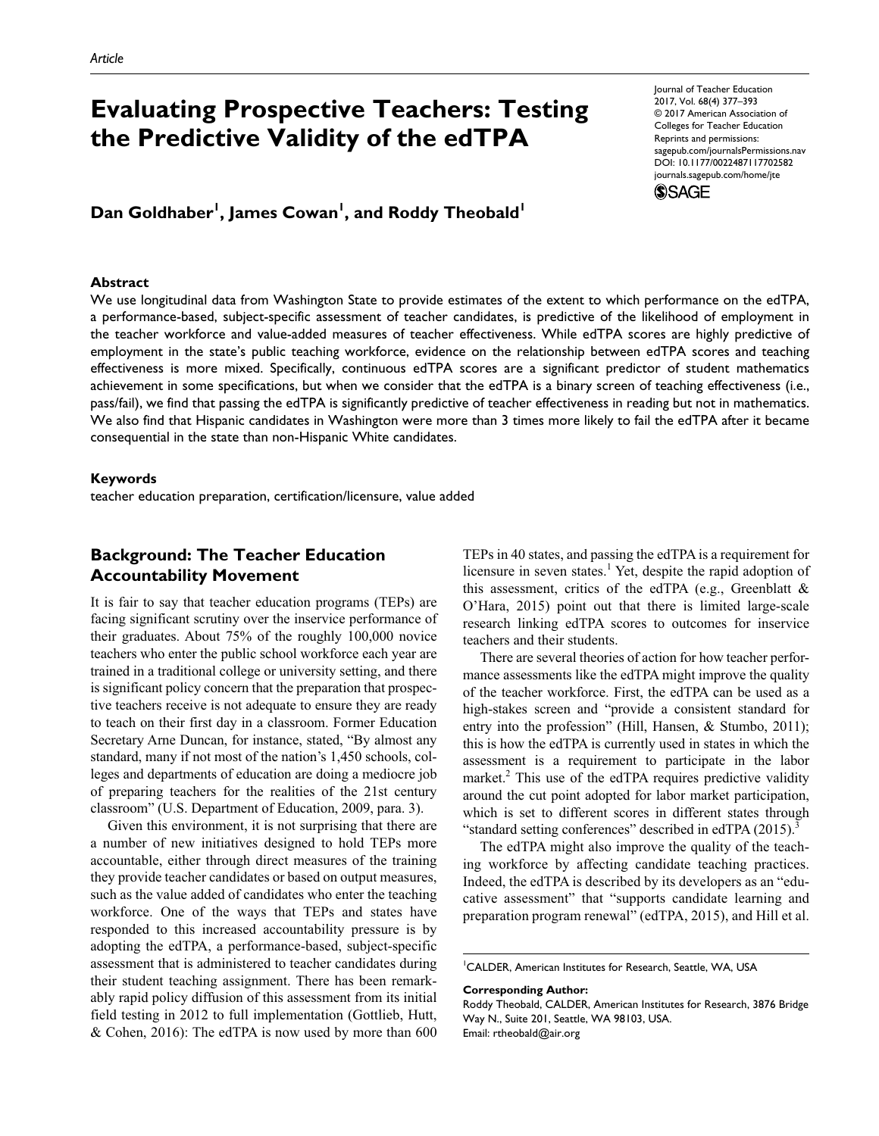# **Evaluating Prospective Teachers: Testing the Predictive Validity of the edTPA**

Journal of Teacher Education 2017, Vol. 68(4) 377–393 © 2017 American Association of Colleges for Teacher Education Reprints and permissions: [sagepub.com/journalsPermissions.nav](https://us.sagepub.com/en-us/journals-permissions) https://doi.org/10.1177/0022487117702582 DOI: 10.1177/0022487117702582 [journals.sagepub.com/home/jte](https://journals.sagepub.com/home/jte) **SSAGE** 

 $\mathsf{Dan}$  Goldhaber<sup>!</sup>, James Cowan<sup>!</sup>, and Roddy Theobald<sup>!</sup>

# **Abstract**

We use longitudinal data from Washington State to provide estimates of the extent to which performance on the edTPA, a performance-based, subject-specific assessment of teacher candidates, is predictive of the likelihood of employment in the teacher workforce and value-added measures of teacher effectiveness. While edTPA scores are highly predictive of employment in the state's public teaching workforce, evidence on the relationship between edTPA scores and teaching effectiveness is more mixed. Specifically, continuous edTPA scores are a significant predictor of student mathematics achievement in some specifications, but when we consider that the edTPA is a binary screen of teaching effectiveness (i.e., pass/fail), we find that passing the edTPA is significantly predictive of teacher effectiveness in reading but not in mathematics. We also find that Hispanic candidates in Washington were more than 3 times more likely to fail the edTPA after it became consequential in the state than non-Hispanic White candidates.

### **Keywords**

teacher education preparation, certification/licensure, value added

# **Background: The Teacher Education Accountability Movement**

It is fair to say that teacher education programs (TEPs) are facing significant scrutiny over the inservice performance of their graduates. About 75% of the roughly 100,000 novice teachers who enter the public school workforce each year are trained in a traditional college or university setting, and there is significant policy concern that the preparation that prospective teachers receive is not adequate to ensure they are ready to teach on their first day in a classroom. Former Education Secretary Arne Duncan, for instance, stated, "By almost any standard, many if not most of the nation's 1,450 schools, colleges and departments of education are doing a mediocre job of preparing teachers for the realities of the 21st century classroom" (U.S. Department of Education, 2009, para. 3).

Given this environment, it is not surprising that there are a number of new initiatives designed to hold TEPs more accountable, either through direct measures of the training they provide teacher candidates or based on output measures, such as the value added of candidates who enter the teaching workforce. One of the ways that TEPs and states have responded to this increased accountability pressure is by adopting the edTPA, a performance-based, subject-specific assessment that is administered to teacher candidates during their student teaching assignment. There has been remarkably rapid policy diffusion of this assessment from its initial field testing in 2012 to full implementation (Gottlieb, Hutt, & Cohen, 2016): The edTPA is now used by more than 600

TEPs in 40 states, and passing the edTPA is a requirement for licensure in seven states.<sup>1</sup> Yet, despite the rapid adoption of this assessment, critics of the edTPA (e.g., Greenblatt  $\&$ O'Hara, 2015) point out that there is limited large-scale research linking edTPA scores to outcomes for inservice teachers and their students.

There are several theories of action for how teacher performance assessments like the edTPA might improve the quality of the teacher workforce. First, the edTPA can be used as a high-stakes screen and "provide a consistent standard for entry into the profession" (Hill, Hansen, & Stumbo, 2011); this is how the edTPA is currently used in states in which the assessment is a requirement to participate in the labor market.<sup>2</sup> This use of the edTPA requires predictive validity around the cut point adopted for labor market participation, which is set to different scores in different states through "standard setting conferences" described in edTPA  $(2015)$ .

The edTPA might also improve the quality of the teaching workforce by affecting candidate teaching practices. Indeed, the edTPA is described by its developers as an "educative assessment" that "supports candidate learning and preparation program renewal" (edTPA, 2015), and Hill et al.

**Corresponding Author:**

<sup>1</sup> CALDER, American Institutes for Research, Seattle, WA, USA

Roddy Theobald, CALDER, American Institutes for Research, 3876 Bridge Way N., Suite 201, Seattle, WA 98103, USA. Email: [rtheobald@air.org](mailto:rtheobald@air.org)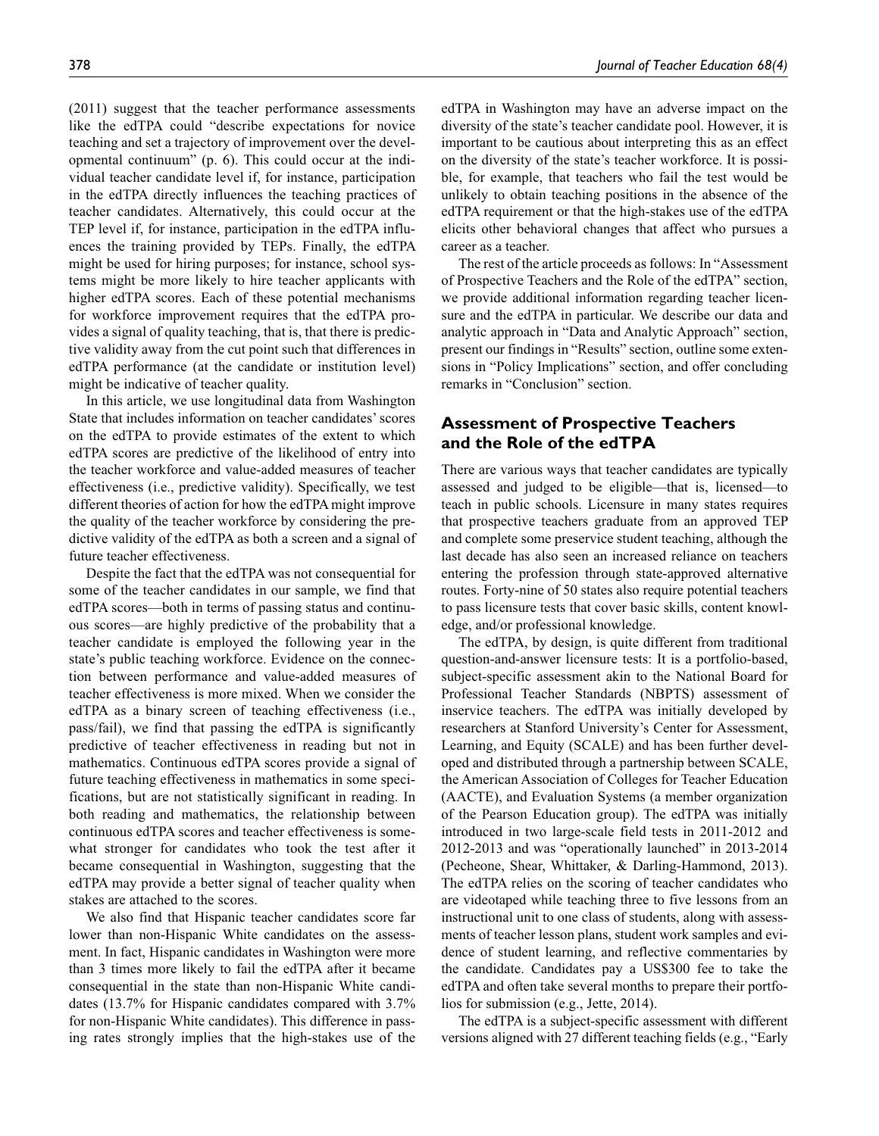(2011) suggest that the teacher performance assessments like the edTPA could "describe expectations for novice teaching and set a trajectory of improvement over the developmental continuum" (p. 6). This could occur at the individual teacher candidate level if, for instance, participation in the edTPA directly influences the teaching practices of teacher candidates. Alternatively, this could occur at the TEP level if, for instance, participation in the edTPA influences the training provided by TEPs. Finally, the edTPA might be used for hiring purposes; for instance, school systems might be more likely to hire teacher applicants with higher edTPA scores. Each of these potential mechanisms for workforce improvement requires that the edTPA provides a signal of quality teaching, that is, that there is predictive validity away from the cut point such that differences in edTPA performance (at the candidate or institution level) might be indicative of teacher quality.

In this article, we use longitudinal data from Washington State that includes information on teacher candidates' scores on the edTPA to provide estimates of the extent to which edTPA scores are predictive of the likelihood of entry into the teacher workforce and value-added measures of teacher effectiveness (i.e., predictive validity). Specifically, we test different theories of action for how the edTPA might improve the quality of the teacher workforce by considering the predictive validity of the edTPA as both a screen and a signal of future teacher effectiveness.

Despite the fact that the edTPA was not consequential for some of the teacher candidates in our sample, we find that edTPA scores—both in terms of passing status and continuous scores—are highly predictive of the probability that a teacher candidate is employed the following year in the state's public teaching workforce. Evidence on the connection between performance and value-added measures of teacher effectiveness is more mixed. When we consider the edTPA as a binary screen of teaching effectiveness (i.e., pass/fail), we find that passing the edTPA is significantly predictive of teacher effectiveness in reading but not in mathematics. Continuous edTPA scores provide a signal of future teaching effectiveness in mathematics in some specifications, but are not statistically significant in reading. In both reading and mathematics, the relationship between continuous edTPA scores and teacher effectiveness is somewhat stronger for candidates who took the test after it became consequential in Washington, suggesting that the edTPA may provide a better signal of teacher quality when stakes are attached to the scores.

We also find that Hispanic teacher candidates score far lower than non-Hispanic White candidates on the assessment. In fact, Hispanic candidates in Washington were more than 3 times more likely to fail the edTPA after it became consequential in the state than non-Hispanic White candidates (13.7% for Hispanic candidates compared with 3.7% for non-Hispanic White candidates). This difference in passing rates strongly implies that the high-stakes use of the

edTPA in Washington may have an adverse impact on the diversity of the state's teacher candidate pool. However, it is important to be cautious about interpreting this as an effect on the diversity of the state's teacher workforce. It is possible, for example, that teachers who fail the test would be unlikely to obtain teaching positions in the absence of the edTPA requirement or that the high-stakes use of the edTPA elicits other behavioral changes that affect who pursues a career as a teacher.

The rest of the article proceeds as follows: In "Assessment of Prospective Teachers and the Role of the edTPA" section, we provide additional information regarding teacher licensure and the edTPA in particular. We describe our data and analytic approach in "Data and Analytic Approach" section, present our findings in "Results" section, outline some extensions in "Policy Implications" section, and offer concluding remarks in "Conclusion" section.

# **Assessment of Prospective Teachers and the Role of the edTPA**

There are various ways that teacher candidates are typically assessed and judged to be eligible—that is, licensed—to teach in public schools. Licensure in many states requires that prospective teachers graduate from an approved TEP and complete some preservice student teaching, although the last decade has also seen an increased reliance on teachers entering the profession through state-approved alternative routes. Forty-nine of 50 states also require potential teachers to pass licensure tests that cover basic skills, content knowledge, and/or professional knowledge.

The edTPA, by design, is quite different from traditional question-and-answer licensure tests: It is a portfolio-based, subject-specific assessment akin to the National Board for Professional Teacher Standards (NBPTS) assessment of inservice teachers. The edTPA was initially developed by researchers at Stanford University's Center for Assessment, Learning, and Equity (SCALE) and has been further developed and distributed through a partnership between SCALE, the American Association of Colleges for Teacher Education (AACTE), and Evaluation Systems (a member organization of the Pearson Education group). The edTPA was initially introduced in two large-scale field tests in 2011-2012 and 2012-2013 and was "operationally launched" in 2013-2014 (Pecheone, Shear, Whittaker, & Darling-Hammond, 2013). The edTPA relies on the scoring of teacher candidates who are videotaped while teaching three to five lessons from an instructional unit to one class of students, along with assessments of teacher lesson plans, student work samples and evidence of student learning, and reflective commentaries by the candidate. Candidates pay a US\$300 fee to take the edTPA and often take several months to prepare their portfolios for submission (e.g., Jette, 2014).

The edTPA is a subject-specific assessment with different versions aligned with 27 different teaching fields (e.g., "Early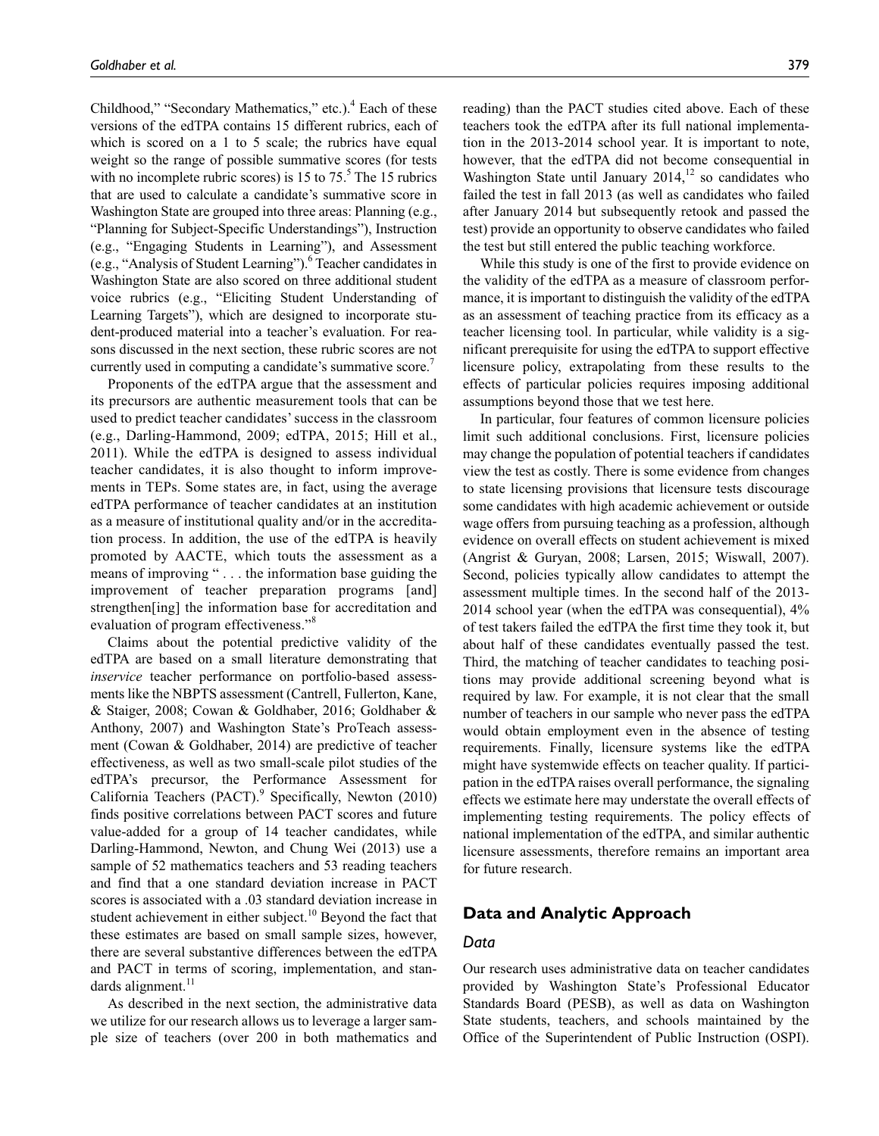Childhood," "Secondary Mathematics," etc.).<sup>4</sup> Each of these versions of the edTPA contains 15 different rubrics, each of which is scored on a 1 to 5 scale; the rubrics have equal weight so the range of possible summative scores (for tests with no incomplete rubric scores) is  $15$  to  $75<sup>5</sup>$ . The 15 rubrics that are used to calculate a candidate's summative score in Washington State are grouped into three areas: Planning (e.g., "Planning for Subject-Specific Understandings"), Instruction (e.g., "Engaging Students in Learning"), and Assessment (e.g., "Analysis of Student Learning").<sup>6</sup> Teacher candidates in Washington State are also scored on three additional student voice rubrics (e.g., "Eliciting Student Understanding of Learning Targets"), which are designed to incorporate student-produced material into a teacher's evaluation. For reasons discussed in the next section, these rubric scores are not currently used in computing a candidate's summative score.

Proponents of the edTPA argue that the assessment and its precursors are authentic measurement tools that can be used to predict teacher candidates' success in the classroom (e.g., Darling-Hammond, 2009; edTPA, 2015; Hill et al., 2011). While the edTPA is designed to assess individual teacher candidates, it is also thought to inform improvements in TEPs. Some states are, in fact, using the average edTPA performance of teacher candidates at an institution as a measure of institutional quality and/or in the accreditation process. In addition, the use of the edTPA is heavily promoted by AACTE, which touts the assessment as a means of improving " . . . the information base guiding the improvement of teacher preparation programs [and] strengthen[ing] the information base for accreditation and evaluation of program effectiveness."<sup>8</sup>

Claims about the potential predictive validity of the edTPA are based on a small literature demonstrating that *inservice* teacher performance on portfolio-based assessments like the NBPTS assessment (Cantrell, Fullerton, Kane, & Staiger, 2008; Cowan & Goldhaber, 2016; Goldhaber & Anthony, 2007) and Washington State's ProTeach assessment (Cowan & Goldhaber, 2014) are predictive of teacher effectiveness, as well as two small-scale pilot studies of the edTPA's precursor, the Performance Assessment for California Teachers (PACT).<sup>9</sup> Specifically, Newton (2010) finds positive correlations between PACT scores and future value-added for a group of 14 teacher candidates, while Darling-Hammond, Newton, and Chung Wei (2013) use a sample of 52 mathematics teachers and 53 reading teachers and find that a one standard deviation increase in PACT scores is associated with a .03 standard deviation increase in student achievement in either subject. $10$  Beyond the fact that these estimates are based on small sample sizes, however, there are several substantive differences between the edTPA and PACT in terms of scoring, implementation, and standards alignment.<sup>11</sup>

As described in the next section, the administrative data we utilize for our research allows us to leverage a larger sample size of teachers (over 200 in both mathematics and reading) than the PACT studies cited above. Each of these teachers took the edTPA after its full national implementation in the 2013-2014 school year. It is important to note, however, that the edTPA did not become consequential in Washington State until January  $2014$ ,<sup>12</sup> so candidates who failed the test in fall 2013 (as well as candidates who failed after January 2014 but subsequently retook and passed the test) provide an opportunity to observe candidates who failed the test but still entered the public teaching workforce.

While this study is one of the first to provide evidence on the validity of the edTPA as a measure of classroom performance, it is important to distinguish the validity of the edTPA as an assessment of teaching practice from its efficacy as a teacher licensing tool. In particular, while validity is a significant prerequisite for using the edTPA to support effective licensure policy, extrapolating from these results to the effects of particular policies requires imposing additional assumptions beyond those that we test here.

In particular, four features of common licensure policies limit such additional conclusions. First, licensure policies may change the population of potential teachers if candidates view the test as costly. There is some evidence from changes to state licensing provisions that licensure tests discourage some candidates with high academic achievement or outside wage offers from pursuing teaching as a profession, although evidence on overall effects on student achievement is mixed (Angrist & Guryan, 2008; Larsen, 2015; Wiswall, 2007). Second, policies typically allow candidates to attempt the assessment multiple times. In the second half of the 2013- 2014 school year (when the edTPA was consequential), 4% of test takers failed the edTPA the first time they took it, but about half of these candidates eventually passed the test. Third, the matching of teacher candidates to teaching positions may provide additional screening beyond what is required by law. For example, it is not clear that the small number of teachers in our sample who never pass the edTPA would obtain employment even in the absence of testing requirements. Finally, licensure systems like the edTPA might have systemwide effects on teacher quality. If participation in the edTPA raises overall performance, the signaling effects we estimate here may understate the overall effects of implementing testing requirements. The policy effects of national implementation of the edTPA, and similar authentic licensure assessments, therefore remains an important area for future research.

# **Data and Analytic Approach**

### *Data*

Our research uses administrative data on teacher candidates provided by Washington State's Professional Educator Standards Board (PESB), as well as data on Washington State students, teachers, and schools maintained by the Office of the Superintendent of Public Instruction (OSPI).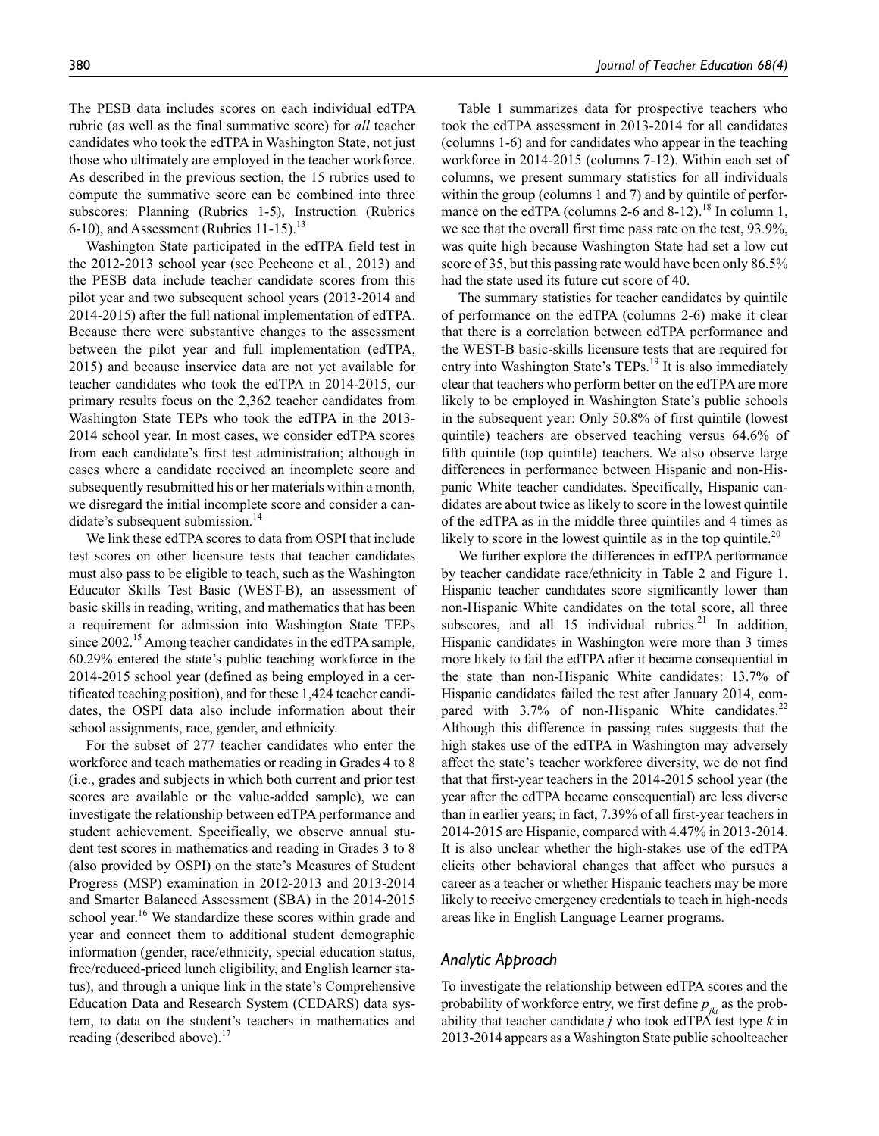The PESB data includes scores on each individual edTPA rubric (as well as the final summative score) for *all* teacher candidates who took the edTPA in Washington State, not just those who ultimately are employed in the teacher workforce. As described in the previous section, the 15 rubrics used to compute the summative score can be combined into three subscores: Planning (Rubrics 1-5), Instruction (Rubrics 6-10), and Assessment (Rubrics 11-15).<sup>13</sup>

Washington State participated in the edTPA field test in the 2012-2013 school year (see Pecheone et al., 2013) and the PESB data include teacher candidate scores from this pilot year and two subsequent school years (2013-2014 and 2014-2015) after the full national implementation of edTPA. Because there were substantive changes to the assessment between the pilot year and full implementation (edTPA, 2015) and because inservice data are not yet available for teacher candidates who took the edTPA in 2014-2015, our primary results focus on the 2,362 teacher candidates from Washington State TEPs who took the edTPA in the 2013- 2014 school year. In most cases, we consider edTPA scores from each candidate's first test administration; although in cases where a candidate received an incomplete score and subsequently resubmitted his or her materials within a month, we disregard the initial incomplete score and consider a candidate's subsequent submission.<sup>14</sup>

We link these edTPA scores to data from OSPI that include test scores on other licensure tests that teacher candidates must also pass to be eligible to teach, such as the Washington Educator Skills Test–Basic (WEST-B), an assessment of basic skills in reading, writing, and mathematics that has been a requirement for admission into Washington State TEPs since 2002.<sup>15</sup> Among teacher candidates in the edTPA sample, 60.29% entered the state's public teaching workforce in the 2014-2015 school year (defined as being employed in a certificated teaching position), and for these 1,424 teacher candidates, the OSPI data also include information about their school assignments, race, gender, and ethnicity.

For the subset of 277 teacher candidates who enter the workforce and teach mathematics or reading in Grades 4 to 8 (i.e., grades and subjects in which both current and prior test scores are available or the value-added sample), we can investigate the relationship between edTPA performance and student achievement. Specifically, we observe annual student test scores in mathematics and reading in Grades 3 to 8 (also provided by OSPI) on the state's Measures of Student Progress (MSP) examination in 2012-2013 and 2013-2014 and Smarter Balanced Assessment (SBA) in the 2014-2015 school year.<sup>16</sup> We standardize these scores within grade and year and connect them to additional student demographic information (gender, race/ethnicity, special education status, free/reduced-priced lunch eligibility, and English learner status), and through a unique link in the state's Comprehensive Education Data and Research System (CEDARS) data system, to data on the student's teachers in mathematics and reading (described above).<sup>17</sup>

380 *Journal of Teacher Education 68(4)*

Table 1 summarizes data for prospective teachers who took the edTPA assessment in 2013-2014 for all candidates (columns 1-6) and for candidates who appear in the teaching workforce in 2014-2015 (columns 7-12). Within each set of columns, we present summary statistics for all individuals within the group (columns 1 and 7) and by quintile of performance on the edTPA (columns 2-6 and 8-12).<sup>18</sup> In column 1, we see that the overall first time pass rate on the test, 93.9%, was quite high because Washington State had set a low cut score of 35, but this passing rate would have been only 86.5% had the state used its future cut score of 40.

The summary statistics for teacher candidates by quintile of performance on the edTPA (columns 2-6) make it clear that there is a correlation between edTPA performance and the WEST-B basic-skills licensure tests that are required for entry into Washington State's TEPs.<sup>19</sup> It is also immediately clear that teachers who perform better on the edTPA are more likely to be employed in Washington State's public schools in the subsequent year: Only 50.8% of first quintile (lowest quintile) teachers are observed teaching versus 64.6% of fifth quintile (top quintile) teachers. We also observe large differences in performance between Hispanic and non-Hispanic White teacher candidates. Specifically, Hispanic candidates are about twice as likely to score in the lowest quintile of the edTPA as in the middle three quintiles and 4 times as likely to score in the lowest quintile as in the top quintile.<sup>20</sup>

We further explore the differences in edTPA performance by teacher candidate race/ethnicity in Table 2 and Figure 1. Hispanic teacher candidates score significantly lower than non-Hispanic White candidates on the total score, all three subscores, and all  $15$  individual rubrics.<sup>21</sup> In addition, Hispanic candidates in Washington were more than 3 times more likely to fail the edTPA after it became consequential in the state than non-Hispanic White candidates: 13.7% of Hispanic candidates failed the test after January 2014, compared with 3.7% of non-Hispanic White candidates.<sup>22</sup> Although this difference in passing rates suggests that the high stakes use of the edTPA in Washington may adversely affect the state's teacher workforce diversity, we do not find that that first-year teachers in the 2014-2015 school year (the year after the edTPA became consequential) are less diverse than in earlier years; in fact, 7.39% of all first-year teachers in 2014-2015 are Hispanic, compared with 4.47% in 2013-2014. It is also unclear whether the high-stakes use of the edTPA elicits other behavioral changes that affect who pursues a career as a teacher or whether Hispanic teachers may be more likely to receive emergency credentials to teach in high-needs areas like in English Language Learner programs.

### *Analytic Approach*

To investigate the relationship between edTPA scores and the probability of workforce entry, we first define  $p_{i,k}$  as the probability that teacher candidate *j* who took edTPA test type *k* in 2013-2014 appears as a Washington State public schoolteacher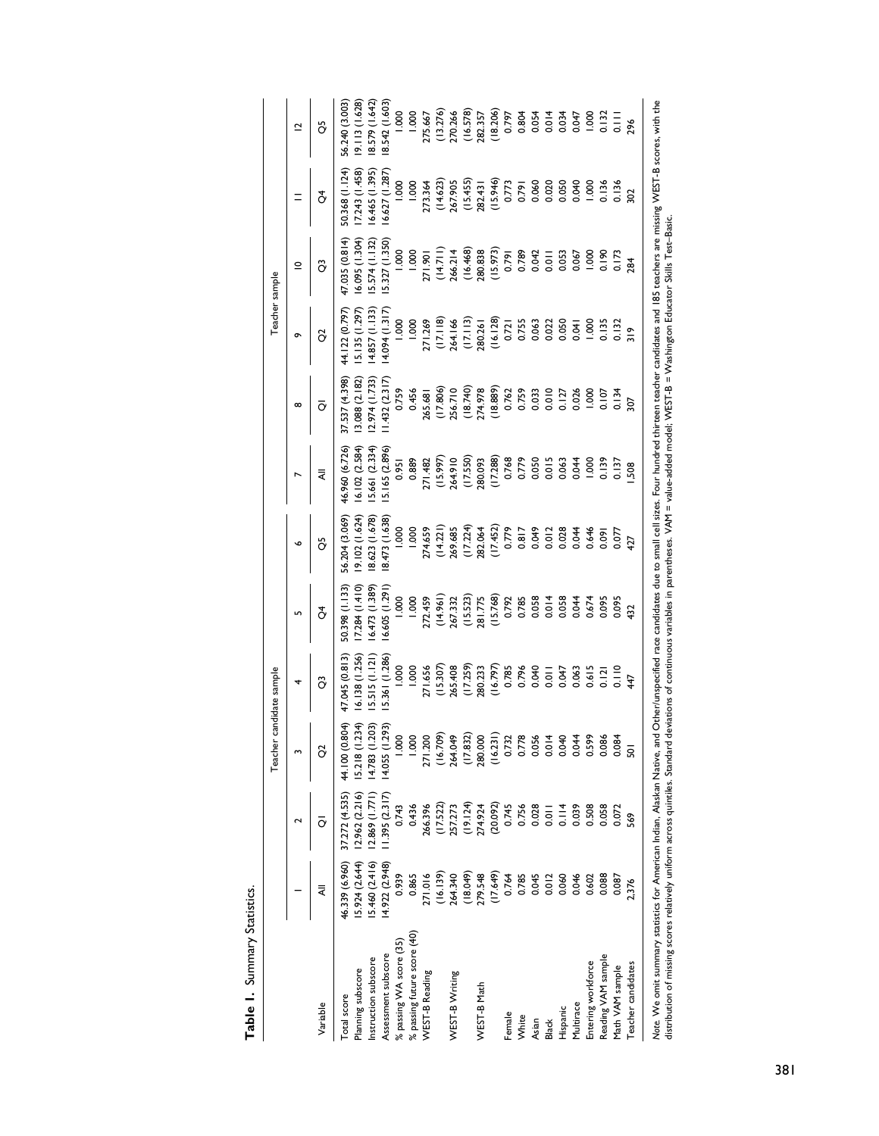| ı      |
|--------|
| ï<br>ı |

|                                                                                                                                                                                                                                |                |                                                                                                 | Teacher        | candidate sample        |                |                |                |                | Teacher sample  |               |                |                |
|--------------------------------------------------------------------------------------------------------------------------------------------------------------------------------------------------------------------------------|----------------|-------------------------------------------------------------------------------------------------|----------------|-------------------------|----------------|----------------|----------------|----------------|-----------------|---------------|----------------|----------------|
|                                                                                                                                                                                                                                |                |                                                                                                 |                | 4                       | S              | ∾              |                | $\infty$       | ۰               | $\supseteq$   |                | $\overline{a}$ |
| Variable                                                                                                                                                                                                                       | ₹              | $\bar{\rm o}$                                                                                   | õ              | ိ                       | ð              | ö              | ₹              | ō              | 9               | ွ             | δ              | ő              |
| Total score                                                                                                                                                                                                                    | 46.339 (6.960) |                                                                                                 |                | 47.045 (0.813)          | 50.398 (1.133) | 56.204 (3.069) | 46.960 (6.726) | 37.537 (4.398) | 44.122 (0.797)  | 47.035(0.814) | 50.368 (1.124) | 56.240 (3.003) |
| Planning subscore                                                                                                                                                                                                              | 5.924 (2.644)  | 37.272 (4.535) 44.100 (0.804)<br>12.962 (2.216) 15.218 (1.234)<br>12.869 (1.771) 14.783 (1.203) |                | 16.138 (1.256)          | (7.284(1.410)) | 9.102 (1.624)  | 16.102(2.584)  | 13.088 (2.182) | 15.135 (1.297)  | 16.095(1.304) | (7.243(1.458)) | 9.113 (1.628)  |
| Instruction subscore                                                                                                                                                                                                           | 15.460(2.416)  |                                                                                                 |                | 5.515(1.121)            | (1.389) 16.473 | 8.623 (1.678)  | 15.661 (2.334) | (2.974(1.733)) | 14.857(1.133)   | 15.574(1.132) | 16.465 (1.395) | 8.579 (1.642)  |
| Assessment subscore                                                                                                                                                                                                            | 14.922 (2.948) | 11.395(2.317)                                                                                   | 14.055 (1.293) | 5.361 (1.286)           | 6.605 (1.291)  | 8.473 (1.638)  | 15.165 (2.896) | 11.432(2.317)  | 14.094(1.317)   | 5.327(1.350)  | 6.627(1.287)   | 8.542 (1.603)  |
| % passing VVA score (35)                                                                                                                                                                                                       | 0.939          | 0.743                                                                                           | $-000$         | 1.000                   | 0001           | 1.000          | 0.951          | 0.759          | 1.000           | 1.000         | 1.000          | 1.000          |
| % passing future score (40)                                                                                                                                                                                                    | 0.865          | 0.436                                                                                           | $-000$         | 1.000                   | 1.000          | 1.000          | 0.889          | 0.456          | 1.000           | 1.000         | 1.000          | 1.000          |
| WEST-B Reading                                                                                                                                                                                                                 | 271.016        | 266.396                                                                                         | 271.200        | 271.656                 | 272.459        | 274.659        | 271.482        | 265.681        | 271.269         | 271.901       | 273.364        | 275.667        |
|                                                                                                                                                                                                                                | (16.139)       | (17.522)                                                                                        | (16.709)       | (15.307)                | (14.961)       | (14.221)       | (15.997)       | (17.806)       | (17.118)        | (14.711)      | (14.623)       | (13.276)       |
| WEST-B Writing                                                                                                                                                                                                                 | 264.340        | 257.273                                                                                         | 264.049        | 265.408                 | 267.332        | 269.685        | 264.910        | 256.710        | 264.166         | 266.214       | 267.905        | 270.266        |
|                                                                                                                                                                                                                                | (18.049)       | (19.124)                                                                                        | (17.832)       | (17.259)                | (15.523)       | (17.224)       | (17.550)       | (18.740)       | (17.113)        | (16.468)      | (15.455)       | (16.578)       |
| WEST-B Math                                                                                                                                                                                                                    | 279.548        | 274.924                                                                                         | 280.000        | 280.233                 | 281.775        | 282.064        | 280.093        | 274.978        | 280.261         | 280.838       | 282.431        | 282.357        |
|                                                                                                                                                                                                                                | (17.649)       | (20.092)                                                                                        | (16.231)       | (16.797)                | (15.768)       | (17.452)       | (17.288)       | (18.889)       | (16.128)        | (15.973)      | (15.946)       | (18.206)       |
| Female                                                                                                                                                                                                                         | 0.764          | 0.745                                                                                           | 0.732          | 0.785                   | 0.792          | 0.779          | 0.768          | 0.762          | 0.721           | 0.791         | 0.773          | 0.797          |
| White                                                                                                                                                                                                                          | 0.785          | 0.756                                                                                           | 0.778          |                         | 0.785          | 0.817          | 0.779          | 0.759          | 0.755           | 0.789         | 0.791          | 0.804          |
| Asian                                                                                                                                                                                                                          | 0.045          | 0.028                                                                                           | 0.056          | 0.796<br>0.040<br>0.011 | 0.058          | 0.049          | 0.050          | 0.033          | 0.063           | 0.042         | 0.060          | 0.054          |
| <b>Black</b>                                                                                                                                                                                                                   | 0.012          | $\frac{1}{2}$                                                                                   | 0.014          |                         | 0.014          | 0.012          | 0.015          | 0.010          | 0.022           | $\frac{1}{2}$ | 0.020          | 0.014          |
| Hispanic                                                                                                                                                                                                                       | 0.060          | 0.114                                                                                           | 0.040          | 0.047                   | 0.058          | 0.028          | 0.063          | 0.127          | 0.050           | 0.053         | 0.050          | 0.034          |
| Multirace                                                                                                                                                                                                                      | 0.046          | 0.039                                                                                           | 0.044          | 0.063                   | 0.044          | 0.044          | 0.044          | 0.026          | 1400            | 0.067         | 0.040          | 0.047          |
| Entering workforce                                                                                                                                                                                                             | 0.602          | 0.508                                                                                           | 0.599          | 0.615                   | 0.674          | 0.646          | 0001           | 0001           | 0001            | 0001          | 0001           | $-000$         |
| Reading VAM sample                                                                                                                                                                                                             | 0.088          | 0.058                                                                                           | 0.086          | 0.121                   | 0.095          | 0.091          | 0.139          | 0.107          | 0.135           | 0.190         | 0.136          | 0.132          |
| Math VAM sample                                                                                                                                                                                                                | 0.087          | 0.072                                                                                           | 0.084          | 0.110                   | 0.095          | 0.077          | 0.137          | 0.134          | 0.132           | 0.173         | 0.136          | $\frac{1}{5}$  |
| Teacher candidates                                                                                                                                                                                                             | 2,376          | 569                                                                                             | $\overline{5}$ | 47                      | 432            | 427            | 508            | 307            | $\frac{319}{2}$ | 284           | 302            | 296            |
| Note. We omit summary statistics for American Indian. Ataskan Native, and Ocher/unspecified race candidates due to small cell sizes. Four hundred thirteen teacher candidates and I85 teachers are missing WEST-B scores, with |                |                                                                                                 |                |                         |                |                |                |                |                 |               |                |                |

Note. We omit summary statistics for American Indian, Alaskan Indiakan Native, and Other/unspecified race candidates due to small cell sizes. Four hundred thirteen teacher candidates and 185 teachers are missing WEST-B sco noce. we omit summary staustics for American indian, Ataskan vative, and Octierunspecified calcidates oue co small cell sizes, rour nundred uniteen teacher andioates and los teachers are missing scores relatively uniform distribution of missing scores relatively uniform across quintiles. Standard deviations of continuous variables in parentheses. VAM = value-added model; WEST-B = Washington Educator Skills Test–Basic.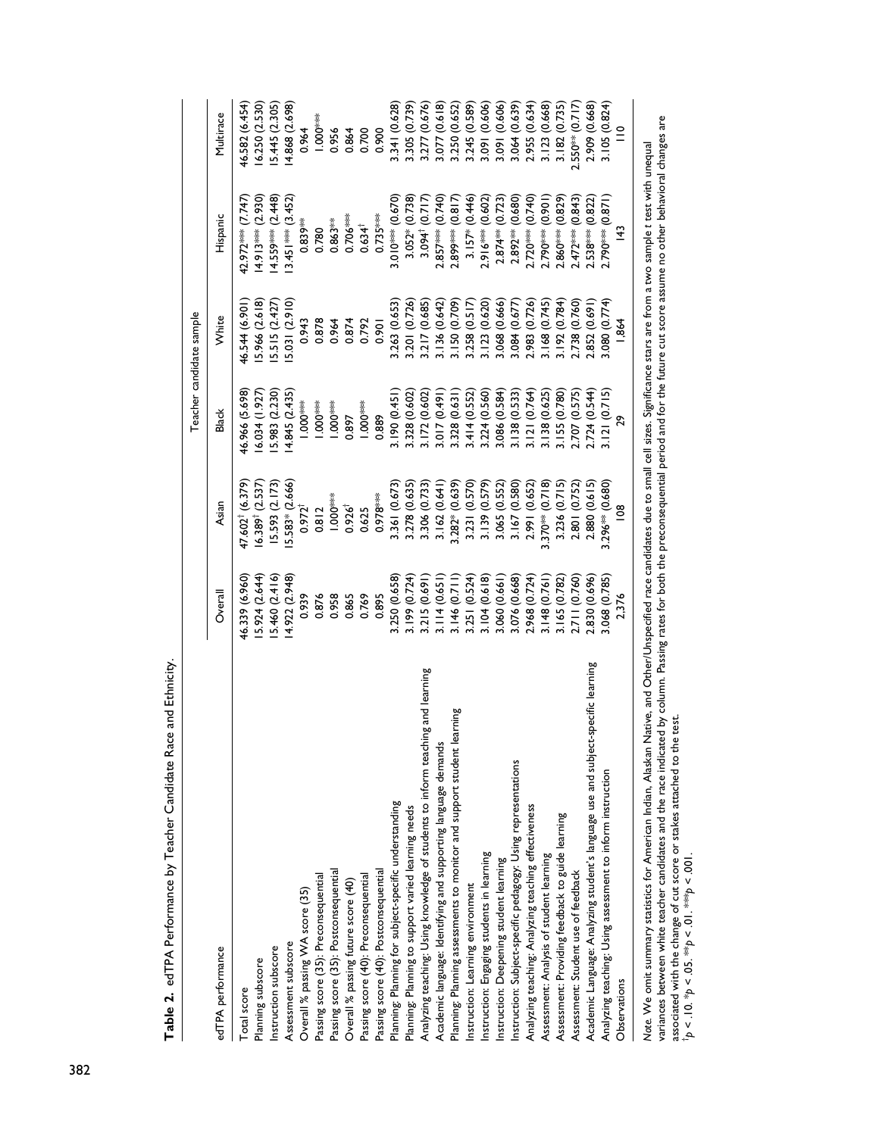|                                                                                   |                |                              |                 | Teacher candidate sample |                           |                |
|-----------------------------------------------------------------------------------|----------------|------------------------------|-----------------|--------------------------|---------------------------|----------------|
| edTPA performance                                                                 | Overall        | Asian                        | <b>Black</b>    | White                    | Hispanic                  | Multirace      |
| Total score                                                                       | 46.339 (6.960) | 47.602 <sup>†</sup> (6.379)  | 46.966 (5.698)  | 46.544 (6.901)           | 42.972**** (7.747)        | 46.582 (6.454) |
| Planning subscore                                                                 | 5.924(2.644)   | $6.389$ <sup>†</sup> (2.537) | 6.034(1.927)    | 5.966 (2.618)            | $4.913***$ (2.930)        | 6.250 (2.530)  |
| Instruction subscore                                                              | 5.460(2.416)   | 5.593 (2.173)                | 5.983 (2.230)   | 5.515(2.427)             | $4.559***$ (2.448)        | 5.445 (2.305)  |
| Assessment subscore                                                               | 14.922 (2.948) | $5.583* (2.666)$             | (4.845(2.435))  | $5.03$   $(2.910)$       | $3.451***$ (3.452)        | 4.868 (2.698)  |
| Overall % passing WA score (35)                                                   | 0.939          | $0.972^{\dagger}$            | ,‱1000          | 0.943                    | $0.839***$                | 0.964          |
| Passing score (35): Preconsequential                                              | 0.876          | 0.812                        | $1.000***$      | 0.878                    | 0.780                     | ***00°.        |
| Passing score (35): Postconsequential                                             | 0.958          | ***000.                      | $1.000**$       | 0.964                    | $0.863**$                 | 0.956          |
| Overall % passing future score (40)                                               | 0.865          | $0.926^{\dagger}$            | 0.897           | 0.874                    | $0.706***$                | 0.864          |
| Passing score (40): Preconsequential                                              | 0.769          | 0.625                        | <b>1.000***</b> | 0.792                    | $0.634^{\dagger}$         | 0.700          |
| Passing score (40): Postconsequential                                             | 0.895          | $0.978***$                   | 0.889           | 0.901                    | $0.735$ ***               | 0.900          |
| Planning: Planning for subject-specific understanding                             | 3.250 (0.658)  | 3.361 (0.673)                | 3.190 (0.451)   | 3.263 (0.653)            | $3.010***$ (0.670)        | 3.341 (0.628)  |
| Planning: Planning to support varied learning needs                               | (0.724)        | 3.278 (0.635)                | .328(0.602)     | 3.201 (0.726)            | $3.052*(0.738)$           | 3.305 (0.739)  |
| Analyzing teaching: Using knowledge of students to inform teaching and learning   | (0.691)        | 3.306 (0.733)                | 172(0.602)      | .217(0.685)              | $3.094^{\dagger}$ (0.717) | 3.277 (0.676)  |
| Academic language: Identifying and supporting language demands                    | .114(0.651)    | 3.162(0.64)                  | (0.491)         | .136(0.642)              | $2.857***$ (0.740)        | 3.077 (0.618)  |
| Planning: Planning assessments to monitor and support student learning            | .146(0.711     | $.282*(0.639)$               | (328(0.631))    | (0.709)                  | $2.899***$ $(0.817)$      | 3.250 (0.652)  |
| Instruction: Learning environment                                                 | 3.251 (0.524)  | 3.231 (0.570)                | 414(0.552)      | .258(0.517)              | $3.157*(0.446)$           | 3.245 (0.589)  |
| Instruction: Engaging students in learning                                        | 104(0.618)     | 3.139 (0.579)                | .224(0.560)     | .123(0.620)              | $2.916*** (0.602)$        | 3.091 (0.606)  |
| Instruction: Deepening student learning                                           | 3.060 (0.661)  | 3.065 (0.552)                | (0.584)         | 068 (0.666)              | $2.874***$ (0.723)        | 3.091 (0.606)  |
| Instruction: Subject-specific pedagogy: Using representations                     | 3.076 (0.668)  | 3.167 (0.580)                | (138(0.533))    | 8.084 (0.677)            | $2.892**$ (0.680)         | 3.064 (0.639)  |
| Analyzing teaching: Analyzing teaching effectiveness                              | .968(0.724)    | 2.991 (0.652)                | .121(0.764)     | ,983 (0.726)             | $.720*** (0.740)$         | 2.955(0.634)   |
| Assessment: Analysis of student learning                                          | .148(0.761)    | $3.370***$ (0.718)           | .138(0.625)     | .168(0.745)              | $(106.0)$ $\ast$          | 3.123 (0.668)  |
| Assessment: Providing feedback to guide learning                                  | .165(0.782)    | 3.236 (0.715)                | .155(0.780)     | (0.784)                  | $(0.850)$ **** $(0.829)$  | 3.182 (0.735)  |
| Assessment: Student use of feedback                                               | 2.711 (0.760)  | 2.801 (0.752)                | 707 (0.575)     | 738 (0.760)              | (6843)                    | 2.550** (0.717 |
| Academic Language: Analyzing student's language use and subject-specific learning | 830 (0.696)    | 2.880 (0.615)                | .724(0.544)     | 852 (0.691)              | .538*** (0.822)           | 2.909 (0.668)  |
| Analyzing teaching: Using assessment to inform instruction                        | 3.068 (0.785)  | $3.296*** (0.680)$           | 1.121(0.715)    | 3.080 (0.774)            | $2.790***$ $(0.871)$      | 3.105(0.824)   |
| Observations                                                                      | 2,376          | $\frac{80}{2}$               | 29              | 1,864                    | $\frac{4}{3}$             |                |

Table 2. edTPA Performance by Teacher Candidate Race and Ethnicity. **Table 2.** edTPA Performance by Teacher Candidate Race and Ethnicity.

Note. We omit summary statistics for American Indian, Alaskan Native, and Other/Unspecified race candidates due to small cell sizes. Significance stars are from a two sample t test with unequal<br>variances between white te variances between white teacher candidates and the race indicated by column. Passing rates for be preconsequential period and for the future cut score assume no other behavioral changes are *Note.* We omit summary statistics for American Indian, Alaskan Native, and Other/Unspecified race candidates due to small cell sizes. Significance stars are from a two sample *t* test with unequal associated with the change of cut score or stakes attached to the test.

†*p* < .10. \**p* < .05. \*\**p* < .01. \*\*\**p* < .001.

 $\overline{\phantom{a}}$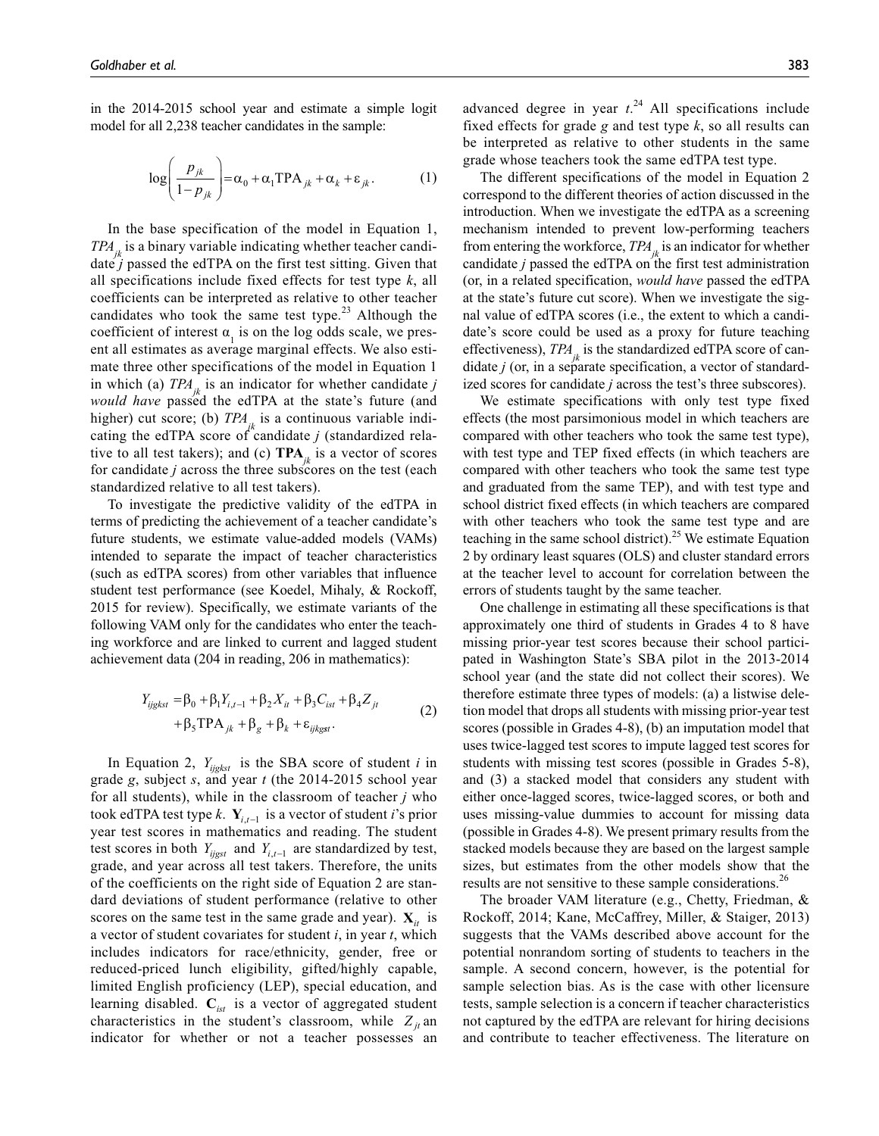in the 2014-2015 school year and estimate a simple logit model for all 2,238 teacher candidates in the sample:

$$
\log\left(\frac{p_{jk}}{1-p_{jk}}\right) = \alpha_0 + \alpha_1 \text{TPA}_{jk} + \alpha_k + \varepsilon_{jk}.
$$
 (1)

In the base specification of the model in Equation 1,  $TPA_{ik}$  is a binary variable indicating whether teacher candidate *j* passed the edTPA on the first test sitting. Given that all specifications include fixed effects for test type *k*, all coefficients can be interpreted as relative to other teacher candidates who took the same test type.<sup>23</sup> Although the coefficient of interest  $\alpha_1$  is on the log odds scale, we present all estimates as average marginal effects. We also estimate three other specifications of the model in Equation 1 in which (a)  $TPA_{ik}$  is an indicator for whether candidate *j would have* passed the edTPA at the state's future (and higher) cut score; (b) *TPA<sub>ik</sub>* is a continuous variable indicating the edTPA score of candidate *j* (standardized relative to all test takers); and (c)  $\text{TPA}_{ik}$  is a vector of scores for candidate *j* across the three subscores on the test (each standardized relative to all test takers).

To investigate the predictive validity of the edTPA in terms of predicting the achievement of a teacher candidate's future students, we estimate value-added models (VAMs) intended to separate the impact of teacher characteristics (such as edTPA scores) from other variables that influence student test performance (see Koedel, Mihaly, & Rockoff, 2015 for review). Specifically, we estimate variants of the following VAM only for the candidates who enter the teaching workforce and are linked to current and lagged student achievement data (204 in reading, 206 in mathematics):

$$
Y_{ijgksi} = \beta_0 + \beta_1 Y_{i,t-1} + \beta_2 X_{it} + \beta_3 C_{ist} + \beta_4 Z_{jt}
$$
  
+ 
$$
\beta_5 \text{TPA}_{jk} + \beta_g + \beta_k + \varepsilon_{ijkgst}.
$$
 (2)

In Equation 2,  $Y_{\text{ijgkst}}$  is the SBA score of student *i* in grade *g*, subject *s*, and year *t* (the 2014-2015 school year for all students), while in the classroom of teacher *j* who took edTPA test type *k*.  $Y_{i,t-1}$  is a vector of student *i*'s prior year test scores in mathematics and reading. The student test scores in both  $Y_{ijgst}$  and  $Y_{i,t-1}$  are standardized by test, grade, and year across all test takers. Therefore, the units of the coefficients on the right side of Equation 2 are standard deviations of student performance (relative to other scores on the same test in the same grade and year).  $\mathbf{X}_{i}$  is a vector of student covariates for student *i*, in year *t*, which includes indicators for race/ethnicity, gender, free or reduced-priced lunch eligibility, gifted/highly capable, limited English proficiency (LEP), special education, and learning disabled.  $C_{ist}$  is a vector of aggregated student characteristics in the student's classroom, while  $Z_{it}$  and indicator for whether or not a teacher possesses an

advanced degree in year  $t^{24}$  All specifications include fixed effects for grade  $g$  and test type  $k$ , so all results can be interpreted as relative to other students in the same grade whose teachers took the same edTPA test type.

The different specifications of the model in Equation 2 correspond to the different theories of action discussed in the introduction. When we investigate the edTPA as a screening mechanism intended to prevent low-performing teachers from entering the workforce, *TPA<sub>jk</sub>* is an indicator for whether candidate  $j$  passed the edTPA on the first test administration (or, in a related specification, *would have* passed the edTPA at the state's future cut score). When we investigate the signal value of edTPA scores (i.e., the extent to which a candidate's score could be used as a proxy for future teaching effectiveness), *TPA<sub>jk</sub>* is the standardized edTPA score of candidate *j* (or, in a separate specification, a vector of standardized scores for candidate *j* across the test's three subscores).

We estimate specifications with only test type fixed effects (the most parsimonious model in which teachers are compared with other teachers who took the same test type), with test type and TEP fixed effects (in which teachers are compared with other teachers who took the same test type and graduated from the same TEP), and with test type and school district fixed effects (in which teachers are compared with other teachers who took the same test type and are teaching in the same school district).<sup>25</sup> We estimate Equation 2 by ordinary least squares (OLS) and cluster standard errors at the teacher level to account for correlation between the errors of students taught by the same teacher.

One challenge in estimating all these specifications is that approximately one third of students in Grades 4 to 8 have missing prior-year test scores because their school participated in Washington State's SBA pilot in the 2013-2014 school year (and the state did not collect their scores). We therefore estimate three types of models: (a) a listwise deletion model that drops all students with missing prior-year test scores (possible in Grades 4-8), (b) an imputation model that uses twice-lagged test scores to impute lagged test scores for students with missing test scores (possible in Grades 5-8), and (3) a stacked model that considers any student with either once-lagged scores, twice-lagged scores, or both and uses missing-value dummies to account for missing data (possible in Grades 4-8). We present primary results from the stacked models because they are based on the largest sample sizes, but estimates from the other models show that the results are not sensitive to these sample considerations.<sup>26</sup>

The broader VAM literature (e.g., Chetty, Friedman, & Rockoff, 2014; Kane, McCaffrey, Miller, & Staiger, 2013) suggests that the VAMs described above account for the potential nonrandom sorting of students to teachers in the sample. A second concern, however, is the potential for sample selection bias. As is the case with other licensure tests, sample selection is a concern if teacher characteristics not captured by the edTPA are relevant for hiring decisions and contribute to teacher effectiveness. The literature on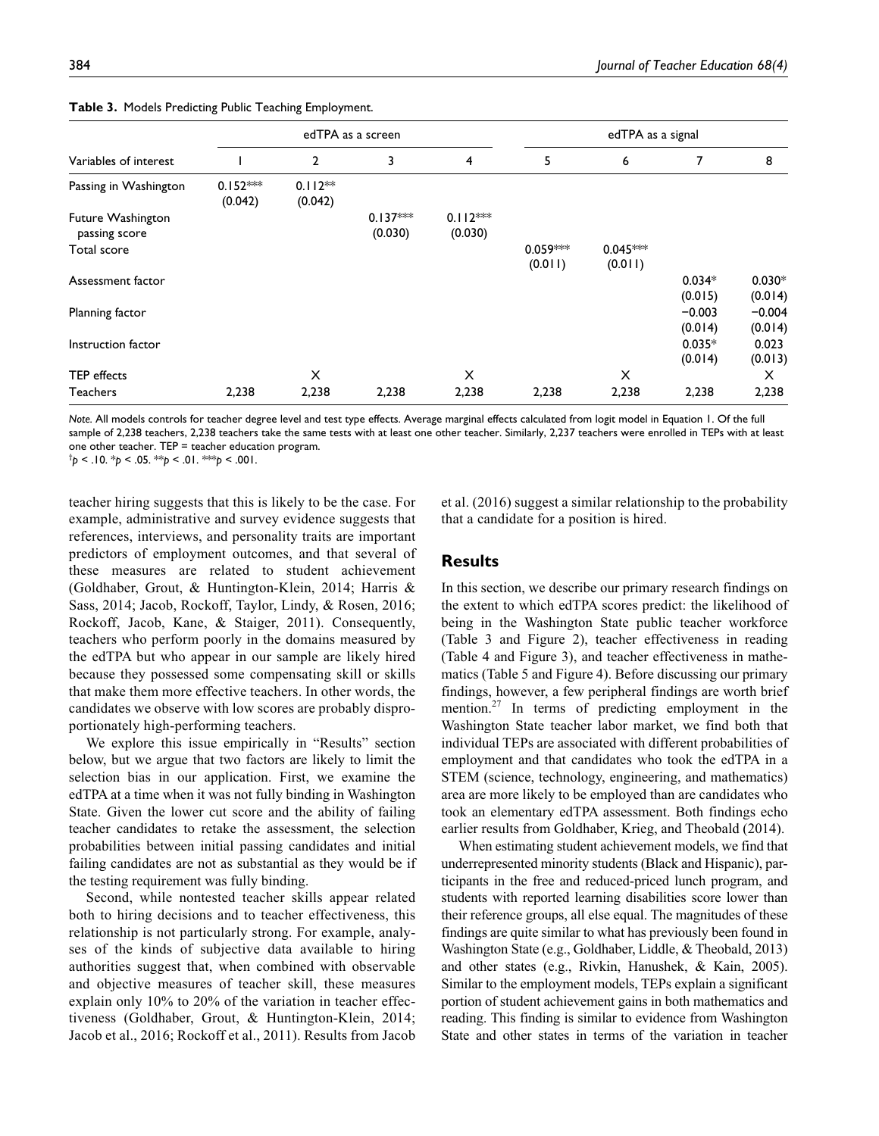|                                    |                       |                      | edTPA as a screen     |                       |                       | edTPA as a signal     |                     |                     |
|------------------------------------|-----------------------|----------------------|-----------------------|-----------------------|-----------------------|-----------------------|---------------------|---------------------|
| Variables of interest              |                       | 2                    | 3                     | 4                     | 5                     | 6                     | 7                   | 8                   |
| Passing in Washington              | $0.152***$<br>(0.042) | $0.112**$<br>(0.042) |                       |                       |                       |                       |                     |                     |
| Future Washington<br>passing score |                       |                      | $0.137***$<br>(0.030) | $0.112***$<br>(0.030) |                       |                       |                     |                     |
| Total score                        |                       |                      |                       |                       | $0.059***$<br>(0.011) | $0.045***$<br>(0.011) |                     |                     |
| Assessment factor                  |                       |                      |                       |                       |                       |                       | $0.034*$<br>(0.015) | $0.030*$<br>(0.014) |
| Planning factor                    |                       |                      |                       |                       |                       |                       | $-0.003$<br>(0.014) | $-0.004$<br>(0.014) |
| Instruction factor                 |                       |                      |                       |                       |                       |                       | $0.035*$<br>(0.014) | 0.023<br>(0.013)    |
| TEP effects                        |                       | X                    |                       | X                     |                       | X                     |                     | X                   |
| Teachers                           | 2,238                 | 2,238                | 2,238                 | 2,238                 | 2,238                 | 2,238                 | 2,238               | 2,238               |

**Table 3.** Models Predicting Public Teaching Employment.

*Note.* All models controls for teacher degree level and test type effects. Average marginal effects calculated from logit model in Equation 1. Of the full sample of 2,238 teachers, 2,238 teachers take the same tests with at least one other teacher. Similarly, 2,237 teachers were enrolled in TEPs with at least one other teacher. TEP = teacher education program. † *p* < .10. \**p* < .05. \*\**p* < .01. \*\*\**p* < .001.

teacher hiring suggests that this is likely to be the case. For example, administrative and survey evidence suggests that references, interviews, and personality traits are important predictors of employment outcomes, and that several of these measures are related to student achievement (Goldhaber, Grout, & Huntington-Klein, 2014; Harris & Sass, 2014; Jacob, Rockoff, Taylor, Lindy, & Rosen, 2016; Rockoff, Jacob, Kane, & Staiger, 2011). Consequently, teachers who perform poorly in the domains measured by the edTPA but who appear in our sample are likely hired because they possessed some compensating skill or skills that make them more effective teachers. In other words, the candidates we observe with low scores are probably disproportionately high-performing teachers.

We explore this issue empirically in "Results" section below, but we argue that two factors are likely to limit the selection bias in our application. First, we examine the edTPA at a time when it was not fully binding in Washington State. Given the lower cut score and the ability of failing teacher candidates to retake the assessment, the selection probabilities between initial passing candidates and initial failing candidates are not as substantial as they would be if the testing requirement was fully binding.

Second, while nontested teacher skills appear related both to hiring decisions and to teacher effectiveness, this relationship is not particularly strong. For example, analyses of the kinds of subjective data available to hiring authorities suggest that, when combined with observable and objective measures of teacher skill, these measures explain only 10% to 20% of the variation in teacher effectiveness (Goldhaber, Grout, & Huntington-Klein, 2014; Jacob et al., 2016; Rockoff et al., 2011). Results from Jacob et al. (2016) suggest a similar relationship to the probability that a candidate for a position is hired.

### **Results**

In this section, we describe our primary research findings on the extent to which edTPA scores predict: the likelihood of being in the Washington State public teacher workforce (Table 3 and Figure 2), teacher effectiveness in reading (Table 4 and Figure 3), and teacher effectiveness in mathematics (Table 5 and Figure 4). Before discussing our primary findings, however, a few peripheral findings are worth brief mention. $27$  In terms of predicting employment in the Washington State teacher labor market, we find both that individual TEPs are associated with different probabilities of employment and that candidates who took the edTPA in a STEM (science, technology, engineering, and mathematics) area are more likely to be employed than are candidates who took an elementary edTPA assessment. Both findings echo earlier results from Goldhaber, Krieg, and Theobald (2014).

When estimating student achievement models, we find that underrepresented minority students (Black and Hispanic), participants in the free and reduced-priced lunch program, and students with reported learning disabilities score lower than their reference groups, all else equal. The magnitudes of these findings are quite similar to what has previously been found in Washington State (e.g., Goldhaber, Liddle, & Theobald, 2013) and other states (e.g., Rivkin, Hanushek, & Kain, 2005). Similar to the employment models, TEPs explain a significant portion of student achievement gains in both mathematics and reading. This finding is similar to evidence from Washington State and other states in terms of the variation in teacher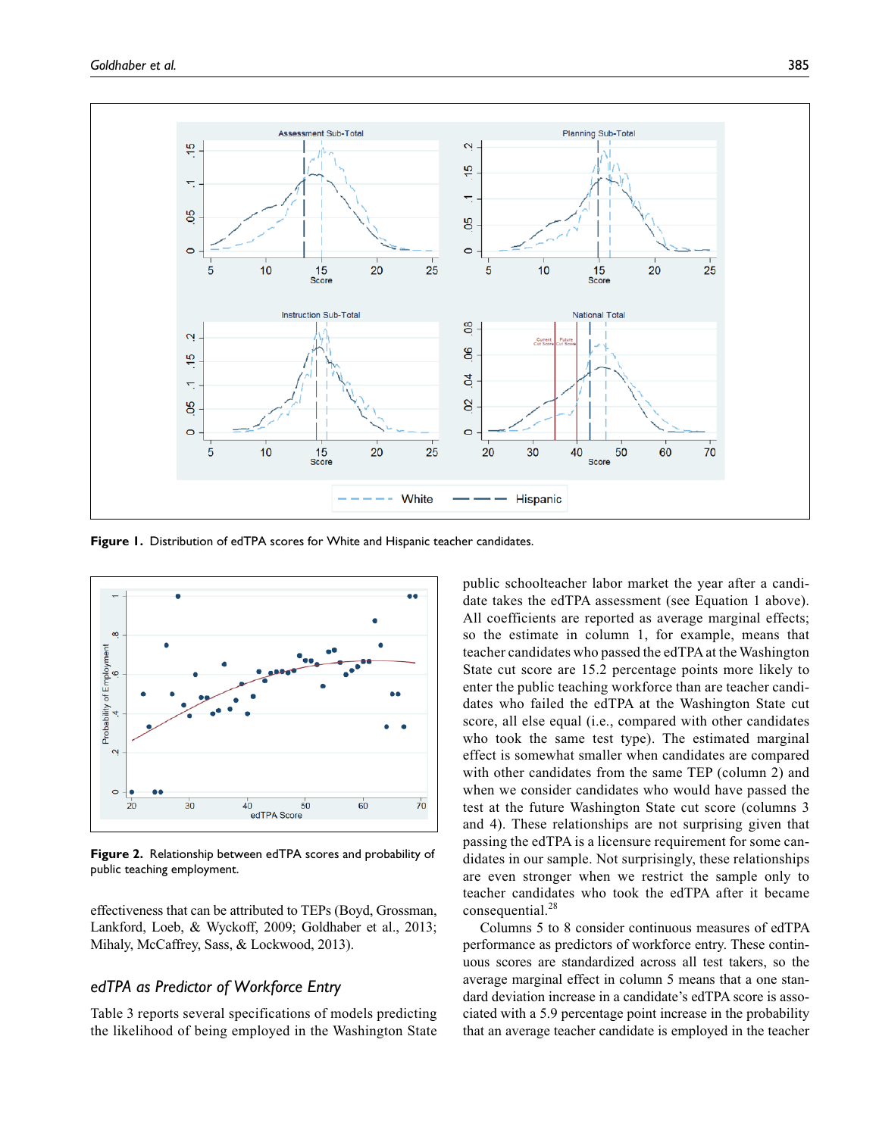

**Figure 1.** Distribution of edTPA scores for White and Hispanic teacher candidates.



**Figure 2.** Relationship between edTPA scores and probability of public teaching employment.

effectiveness that can be attributed to TEPs (Boyd, Grossman, Lankford, Loeb, & Wyckoff, 2009; Goldhaber et al., 2013; Mihaly, McCaffrey, Sass, & Lockwood, 2013).

# *edTPA as Predictor of Workforce Entry*

Table 3 reports several specifications of models predicting the likelihood of being employed in the Washington State

public schoolteacher labor market the year after a candidate takes the edTPA assessment (see Equation 1 above). All coefficients are reported as average marginal effects; so the estimate in column 1, for example, means that teacher candidates who passed the edTPA at the Washington State cut score are 15.2 percentage points more likely to enter the public teaching workforce than are teacher candidates who failed the edTPA at the Washington State cut score, all else equal (i.e., compared with other candidates who took the same test type). The estimated marginal effect is somewhat smaller when candidates are compared with other candidates from the same TEP (column 2) and when we consider candidates who would have passed the test at the future Washington State cut score (columns 3 and 4). These relationships are not surprising given that passing the edTPA is a licensure requirement for some candidates in our sample. Not surprisingly, these relationships are even stronger when we restrict the sample only to teacher candidates who took the edTPA after it became consequential.<sup>28</sup>

Columns 5 to 8 consider continuous measures of edTPA performance as predictors of workforce entry. These continuous scores are standardized across all test takers, so the average marginal effect in column 5 means that a one standard deviation increase in a candidate's edTPA score is associated with a 5.9 percentage point increase in the probability that an average teacher candidate is employed in the teacher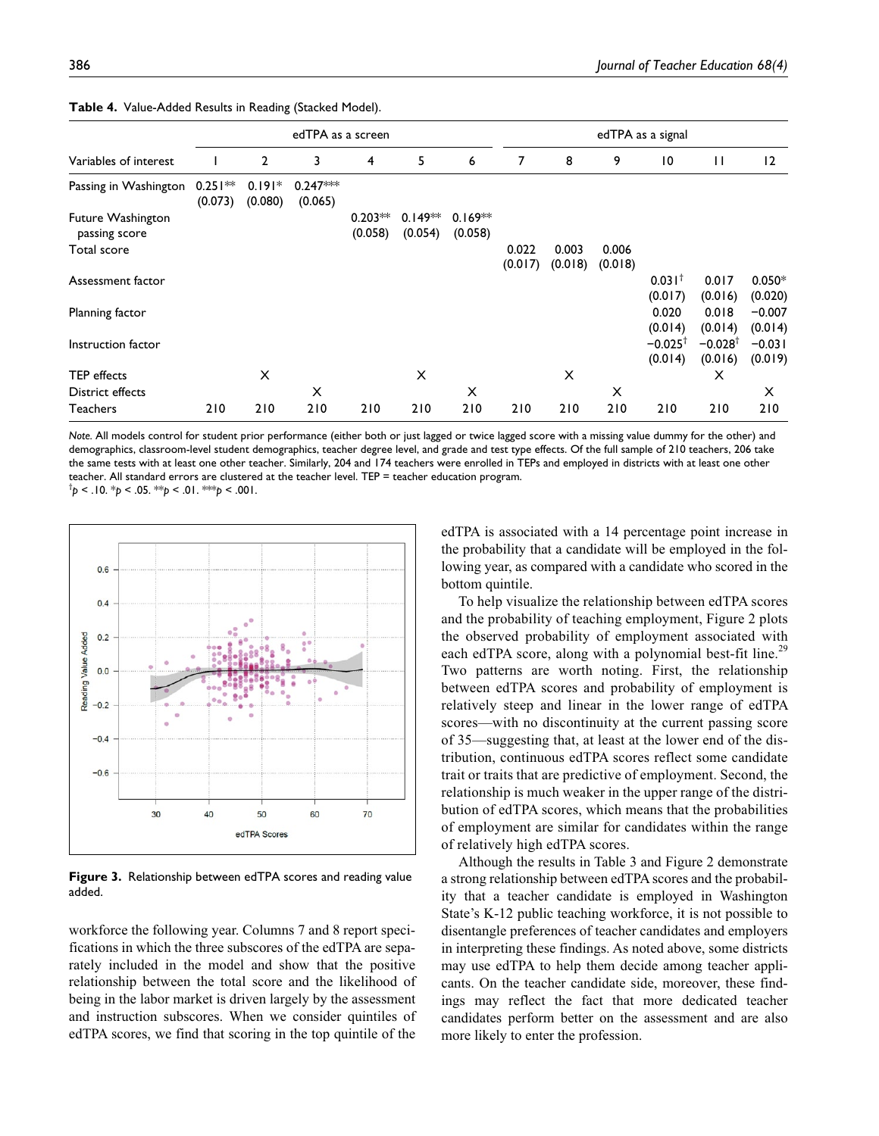|                                    |                       |                     | edTPA as a screen     |                      |                      |                      |                  |                  |                  | edTPA as a signal             |                                  |                     |
|------------------------------------|-----------------------|---------------------|-----------------------|----------------------|----------------------|----------------------|------------------|------------------|------------------|-------------------------------|----------------------------------|---------------------|
| Variables of interest              |                       | 2                   | 3                     | 4                    | 5                    | 6                    | 7                | 8                | 9                | $\overline{0}$                | $\mathbf{H}$                     | 12                  |
| Passing in Washington              | $0.251***$<br>(0.073) | $0.191*$<br>(0.080) | $0.247***$<br>(0.065) |                      |                      |                      |                  |                  |                  |                               |                                  |                     |
| Future Washington<br>passing score |                       |                     |                       | $0.203**$<br>(0.058) | $0.149**$<br>(0.054) | $0.169**$<br>(0.058) |                  |                  |                  |                               |                                  |                     |
| Total score                        |                       |                     |                       |                      |                      |                      | 0.022<br>(0.017) | 0.003<br>(0.018) | 0.006<br>(0.018) |                               |                                  |                     |
| Assessment factor                  |                       |                     |                       |                      |                      |                      |                  |                  |                  | $0.031^{\dagger}$<br>(0.017)  | 0.017<br>(0.016)                 | $0.050*$<br>(0.020) |
| Planning factor                    |                       |                     |                       |                      |                      |                      |                  |                  |                  | 0.020<br>(0.014)              | 0.018<br>(0.014)                 | $-0.007$<br>(0.014) |
| Instruction factor                 |                       |                     |                       |                      |                      |                      |                  |                  |                  | $-0.025^{\dagger}$<br>(0.014) | $-0.028$ <sup>†</sup><br>(0.016) | $-0.031$<br>(0.019) |
| <b>TEP</b> effects                 |                       | X                   |                       |                      | X                    |                      |                  | X                |                  |                               | X                                |                     |
| District effects                   |                       |                     | X                     |                      |                      | X                    |                  |                  | X                |                               |                                  | X                   |
| Teachers                           | 210                   | 210                 | 210                   | 210                  | 210                  | 210                  | 210              | 210              | 210              | 210                           | 210                              | 210                 |

**Table 4.** Value-Added Results in Reading (Stacked Model).

*Note.* All models control for student prior performance (either both or just lagged or twice lagged score with a missing value dummy for the other) and demographics, classroom-level student demographics, teacher degree level, and grade and test type effects. Of the full sample of 210 teachers, 206 take the same tests with at least one other teacher. Similarly, 204 and 174 teachers were enrolled in TEPs and employed in districts with at least one other teacher. All standard errors are clustered at the teacher level. TEP = teacher education program. † *p* < .10. \**p* < .05. \*\**p* < .01. \*\*\**p* < .001.



**Figure 3.** Relationship between edTPA scores and reading value added.

workforce the following year. Columns 7 and 8 report specifications in which the three subscores of the edTPA are separately included in the model and show that the positive relationship between the total score and the likelihood of being in the labor market is driven largely by the assessment and instruction subscores. When we consider quintiles of edTPA scores, we find that scoring in the top quintile of the

edTPA is associated with a 14 percentage point increase in the probability that a candidate will be employed in the following year, as compared with a candidate who scored in the bottom quintile.

To help visualize the relationship between edTPA scores and the probability of teaching employment, Figure 2 plots the observed probability of employment associated with each edTPA score, along with a polynomial best-fit line.<sup>29</sup> Two patterns are worth noting. First, the relationship between edTPA scores and probability of employment is relatively steep and linear in the lower range of edTPA scores—with no discontinuity at the current passing score of 35—suggesting that, at least at the lower end of the distribution, continuous edTPA scores reflect some candidate trait or traits that are predictive of employment. Second, the relationship is much weaker in the upper range of the distribution of edTPA scores, which means that the probabilities of employment are similar for candidates within the range of relatively high edTPA scores.

Although the results in Table 3 and Figure 2 demonstrate a strong relationship between edTPA scores and the probability that a teacher candidate is employed in Washington State's K-12 public teaching workforce, it is not possible to disentangle preferences of teacher candidates and employers in interpreting these findings. As noted above, some districts may use edTPA to help them decide among teacher applicants. On the teacher candidate side, moreover, these findings may reflect the fact that more dedicated teacher candidates perform better on the assessment and are also more likely to enter the profession.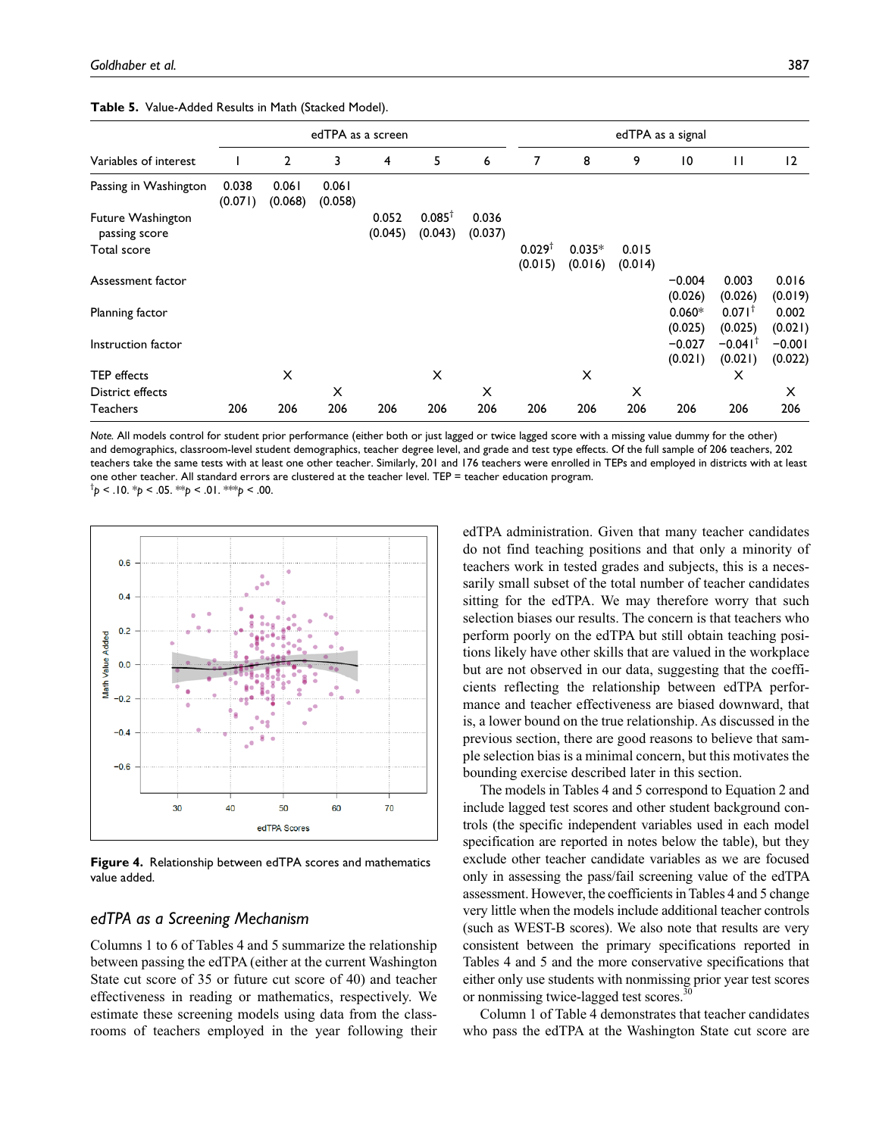| Table 5. Value-Added Results in Math (Stacked Model). |  |
|-------------------------------------------------------|--|
|-------------------------------------------------------|--|

|                                    |                  |                  |                  | edTPA as a screen |                              |                  |                              |                     |                  | edTPA as a signal   |                                  |                     |
|------------------------------------|------------------|------------------|------------------|-------------------|------------------------------|------------------|------------------------------|---------------------|------------------|---------------------|----------------------------------|---------------------|
| Variables of interest              |                  | $\overline{2}$   | 3                | 4                 | 5                            | 6                | 7                            | 8                   | 9                | 10                  | $\mathbf{H}$                     | 12                  |
| Passing in Washington              | 0.038<br>(0.071) | 0.061<br>(0.068) | 0.061<br>(0.058) |                   |                              |                  |                              |                     |                  |                     |                                  |                     |
| Future Washington<br>passing score |                  |                  |                  | 0.052<br>(0.045)  | $0.085^{\dagger}$<br>(0.043) | 0.036<br>(0.037) |                              |                     |                  |                     |                                  |                     |
| Total score                        |                  |                  |                  |                   |                              |                  | $0.029^{\dagger}$<br>(0.015) | $0.035*$<br>(0.016) | 0.015<br>(0.014) |                     |                                  |                     |
| Assessment factor                  |                  |                  |                  |                   |                              |                  |                              |                     |                  | $-0.004$<br>(0.026) | 0.003<br>(0.026)                 | 0.016<br>(0.019)    |
| Planning factor                    |                  |                  |                  |                   |                              |                  |                              |                     |                  | $0.060*$<br>(0.025) | $0.071$ <sup>T</sup><br>(0.025)  | 0.002<br>(0.021)    |
| Instruction factor                 |                  |                  |                  |                   |                              |                  |                              |                     |                  | $-0.027$<br>(0.021) | $-0.041$ <sup>t</sup><br>(0.021) | $-0.001$<br>(0.022) |
| <b>TEP</b> effects                 |                  | X                |                  |                   | X                            |                  |                              | X                   |                  |                     | X                                |                     |
| District effects                   |                  |                  | X                |                   |                              | X                |                              |                     | X                |                     |                                  | х                   |
| Teachers                           | 206              | 206              | 206              | 206               | 206                          | 206              | 206                          | 206                 | 206              | 206                 | 206                              | 206                 |

*Note.* All models control for student prior performance (either both or just lagged or twice lagged score with a missing value dummy for the other) and demographics, classroom-level student demographics, teacher degree level, and grade and test type effects. Of the full sample of 206 teachers, 202 teachers take the same tests with at least one other teacher. Similarly, 201 and 176 teachers were enrolled in TEPs and employed in districts with at least one other teacher. All standard errors are clustered at the teacher level. TEP = teacher education program. † *p* < .10. \**p* < .05. \*\**p* < .01. \*\*\**p* < .00.



**Figure 4.** Relationship between edTPA scores and mathematics value added.

### *edTPA as a Screening Mechanism*

Columns 1 to 6 of Tables 4 and 5 summarize the relationship between passing the edTPA (either at the current Washington State cut score of 35 or future cut score of 40) and teacher effectiveness in reading or mathematics, respectively. We estimate these screening models using data from the classrooms of teachers employed in the year following their edTPA administration. Given that many teacher candidates do not find teaching positions and that only a minority of teachers work in tested grades and subjects, this is a necessarily small subset of the total number of teacher candidates sitting for the edTPA. We may therefore worry that such selection biases our results. The concern is that teachers who perform poorly on the edTPA but still obtain teaching positions likely have other skills that are valued in the workplace but are not observed in our data, suggesting that the coefficients reflecting the relationship between edTPA performance and teacher effectiveness are biased downward, that is, a lower bound on the true relationship. As discussed in the previous section, there are good reasons to believe that sample selection bias is a minimal concern, but this motivates the bounding exercise described later in this section.

The models in Tables 4 and 5 correspond to Equation 2 and include lagged test scores and other student background controls (the specific independent variables used in each model specification are reported in notes below the table), but they exclude other teacher candidate variables as we are focused only in assessing the pass/fail screening value of the edTPA assessment. However, the coefficients in Tables 4 and 5 change very little when the models include additional teacher controls (such as WEST-B scores). We also note that results are very consistent between the primary specifications reported in Tables 4 and 5 and the more conservative specifications that either only use students with nonmissing prior year test scores or nonmissing twice-lagged test scores.<sup>3</sup>

Column 1 of Table 4 demonstrates that teacher candidates who pass the edTPA at the Washington State cut score are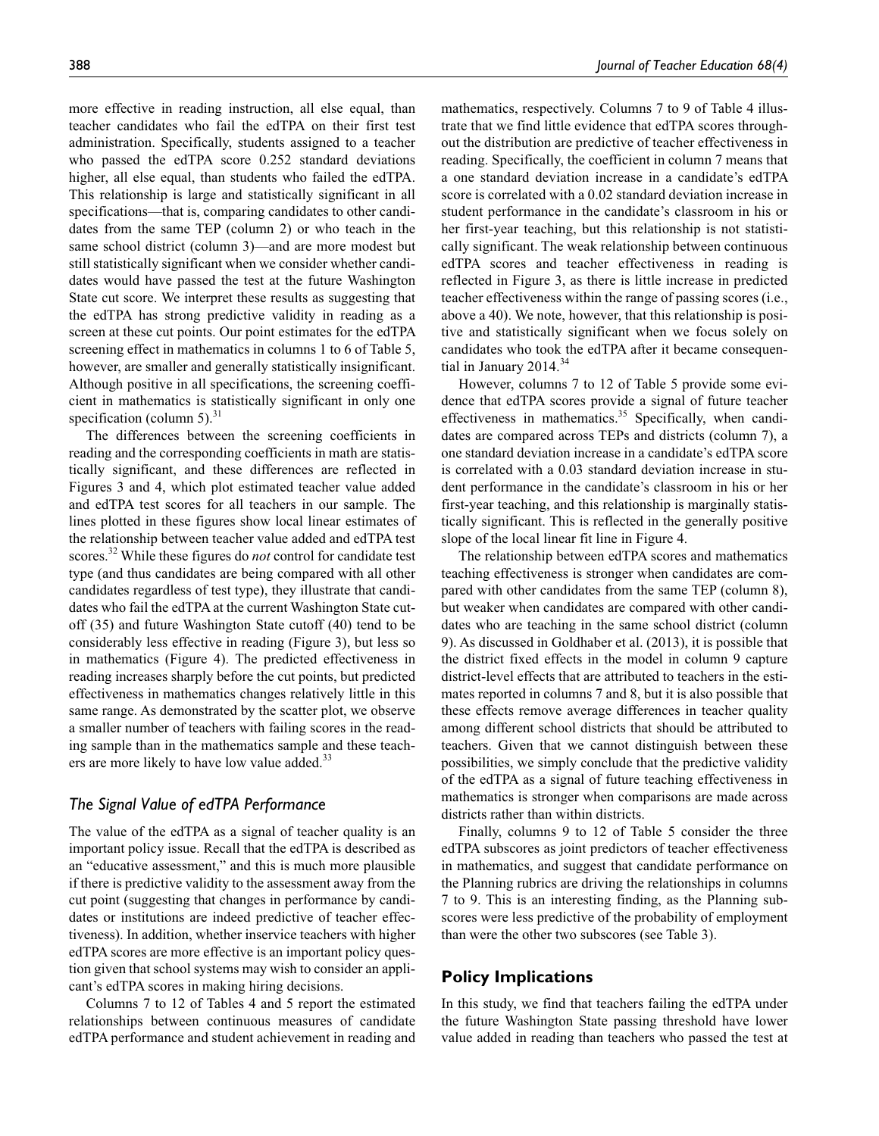more effective in reading instruction, all else equal, than teacher candidates who fail the edTPA on their first test administration. Specifically, students assigned to a teacher who passed the edTPA score 0.252 standard deviations higher, all else equal, than students who failed the edTPA. This relationship is large and statistically significant in all specifications—that is, comparing candidates to other candidates from the same TEP (column 2) or who teach in the same school district (column 3)—and are more modest but still statistically significant when we consider whether candidates would have passed the test at the future Washington State cut score. We interpret these results as suggesting that the edTPA has strong predictive validity in reading as a screen at these cut points. Our point estimates for the edTPA screening effect in mathematics in columns 1 to 6 of Table 5, however, are smaller and generally statistically insignificant. Although positive in all specifications, the screening coefficient in mathematics is statistically significant in only one specification (column 5). $31$ 

The differences between the screening coefficients in reading and the corresponding coefficients in math are statistically significant, and these differences are reflected in Figures 3 and 4, which plot estimated teacher value added and edTPA test scores for all teachers in our sample. The lines plotted in these figures show local linear estimates of the relationship between teacher value added and edTPA test scores.32 While these figures do *not* control for candidate test type (and thus candidates are being compared with all other candidates regardless of test type), they illustrate that candidates who fail the edTPA at the current Washington State cutoff (35) and future Washington State cutoff (40) tend to be considerably less effective in reading (Figure 3), but less so in mathematics (Figure 4). The predicted effectiveness in reading increases sharply before the cut points, but predicted effectiveness in mathematics changes relatively little in this same range. As demonstrated by the scatter plot, we observe a smaller number of teachers with failing scores in the reading sample than in the mathematics sample and these teachers are more likely to have low value added.<sup>33</sup>

# *The Signal Value of edTPA Performance*

The value of the edTPA as a signal of teacher quality is an important policy issue. Recall that the edTPA is described as an "educative assessment," and this is much more plausible if there is predictive validity to the assessment away from the cut point (suggesting that changes in performance by candidates or institutions are indeed predictive of teacher effectiveness). In addition, whether inservice teachers with higher edTPA scores are more effective is an important policy question given that school systems may wish to consider an applicant's edTPA scores in making hiring decisions.

Columns 7 to 12 of Tables 4 and 5 report the estimated relationships between continuous measures of candidate edTPA performance and student achievement in reading and

mathematics, respectively. Columns 7 to 9 of Table 4 illustrate that we find little evidence that edTPA scores throughout the distribution are predictive of teacher effectiveness in reading. Specifically, the coefficient in column 7 means that a one standard deviation increase in a candidate's edTPA score is correlated with a 0.02 standard deviation increase in student performance in the candidate's classroom in his or her first-year teaching, but this relationship is not statistically significant. The weak relationship between continuous edTPA scores and teacher effectiveness in reading is reflected in Figure 3, as there is little increase in predicted teacher effectiveness within the range of passing scores (i.e., above a 40). We note, however, that this relationship is positive and statistically significant when we focus solely on candidates who took the edTPA after it became consequential in January 2014.<sup>34</sup>

However, columns 7 to 12 of Table 5 provide some evidence that edTPA scores provide a signal of future teacher effectiveness in mathematics. $35$  Specifically, when candidates are compared across TEPs and districts (column 7), a one standard deviation increase in a candidate's edTPA score is correlated with a 0.03 standard deviation increase in student performance in the candidate's classroom in his or her first-year teaching, and this relationship is marginally statistically significant. This is reflected in the generally positive slope of the local linear fit line in Figure 4.

The relationship between edTPA scores and mathematics teaching effectiveness is stronger when candidates are compared with other candidates from the same TEP (column 8), but weaker when candidates are compared with other candidates who are teaching in the same school district (column 9). As discussed in Goldhaber et al. (2013), it is possible that the district fixed effects in the model in column 9 capture district-level effects that are attributed to teachers in the estimates reported in columns 7 and 8, but it is also possible that these effects remove average differences in teacher quality among different school districts that should be attributed to teachers. Given that we cannot distinguish between these possibilities, we simply conclude that the predictive validity of the edTPA as a signal of future teaching effectiveness in mathematics is stronger when comparisons are made across districts rather than within districts.

Finally, columns 9 to 12 of Table 5 consider the three edTPA subscores as joint predictors of teacher effectiveness in mathematics, and suggest that candidate performance on the Planning rubrics are driving the relationships in columns 7 to 9. This is an interesting finding, as the Planning subscores were less predictive of the probability of employment than were the other two subscores (see Table 3).

# **Policy Implications**

In this study, we find that teachers failing the edTPA under the future Washington State passing threshold have lower value added in reading than teachers who passed the test at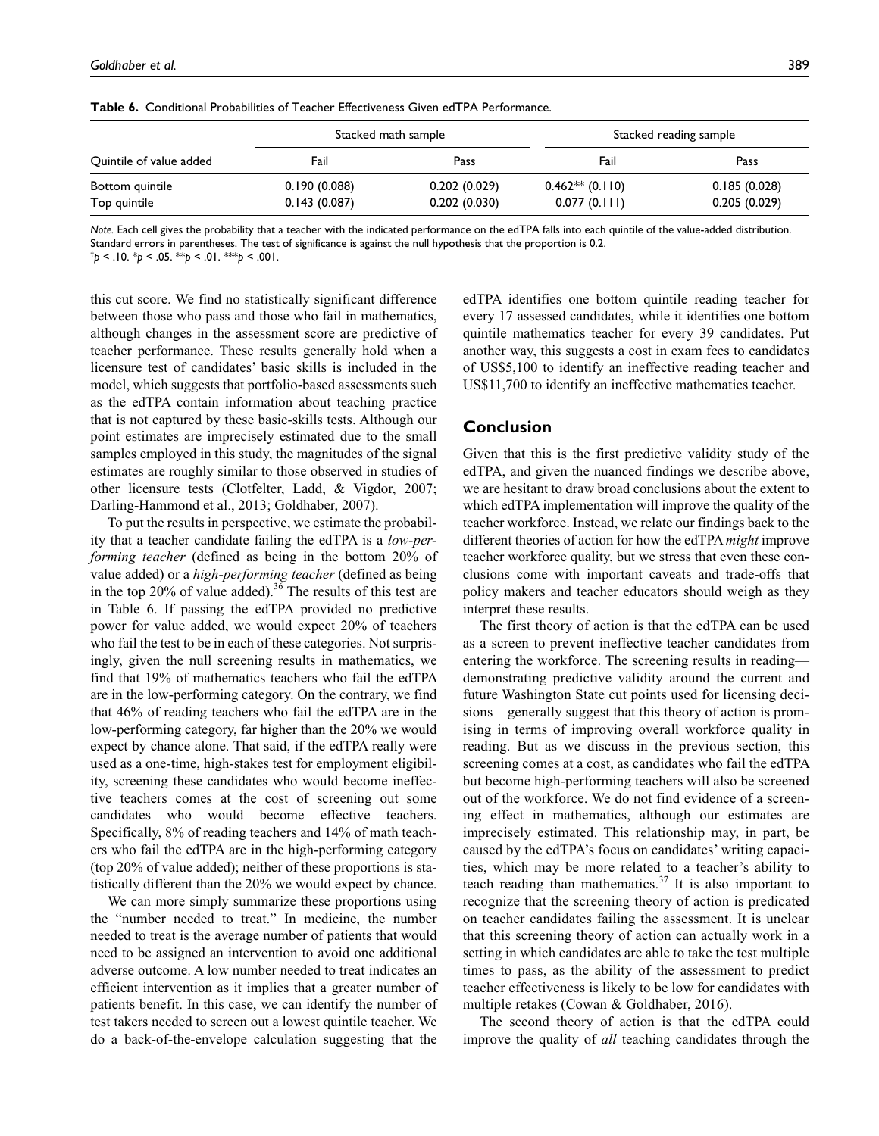|                         | Stacked math sample |              |                   | Stacked reading sample |
|-------------------------|---------------------|--------------|-------------------|------------------------|
| Quintile of value added | Fail                | Pass         | Fail              | Pass                   |
| Bottom quintile         | 0.190(0.088)        | 0.202(0.029) | $0.462**$ (0.110) | 0.185(0.028)           |
| Top quintile            | 0.143(0.087)        | 0.202(0.030) | 0.077(0.111)      | 0.205(0.029)           |

**Table 6.** Conditional Probabilities of Teacher Effectiveness Given edTPA Performance.

*Note.* Each cell gives the probability that a teacher with the indicated performance on the edTPA falls into each quintile of the value-added distribution. Standard errors in parentheses. The test of significance is against the null hypothesis that the proportion is 0.2.

† *p* < .10. \**p* < .05. \*\**p* < .01. \*\*\**p* < .001.

this cut score. We find no statistically significant difference between those who pass and those who fail in mathematics, although changes in the assessment score are predictive of teacher performance. These results generally hold when a licensure test of candidates' basic skills is included in the model, which suggests that portfolio-based assessments such as the edTPA contain information about teaching practice that is not captured by these basic-skills tests. Although our point estimates are imprecisely estimated due to the small samples employed in this study, the magnitudes of the signal estimates are roughly similar to those observed in studies of other licensure tests (Clotfelter, Ladd, & Vigdor, 2007; Darling-Hammond et al., 2013; Goldhaber, 2007).

To put the results in perspective, we estimate the probability that a teacher candidate failing the edTPA is a *low-performing teacher* (defined as being in the bottom 20% of value added) or a *high-performing teacher* (defined as being in the top 20% of value added).<sup>36</sup> The results of this test are in Table 6. If passing the edTPA provided no predictive power for value added, we would expect 20% of teachers who fail the test to be in each of these categories. Not surprisingly, given the null screening results in mathematics, we find that 19% of mathematics teachers who fail the edTPA are in the low-performing category. On the contrary, we find that 46% of reading teachers who fail the edTPA are in the low-performing category, far higher than the 20% we would expect by chance alone. That said, if the edTPA really were used as a one-time, high-stakes test for employment eligibility, screening these candidates who would become ineffective teachers comes at the cost of screening out some candidates who would become effective teachers. Specifically, 8% of reading teachers and 14% of math teachers who fail the edTPA are in the high-performing category (top 20% of value added); neither of these proportions is statistically different than the 20% we would expect by chance.

We can more simply summarize these proportions using the "number needed to treat." In medicine, the number needed to treat is the average number of patients that would need to be assigned an intervention to avoid one additional adverse outcome. A low number needed to treat indicates an efficient intervention as it implies that a greater number of patients benefit. In this case, we can identify the number of test takers needed to screen out a lowest quintile teacher. We do a back-of-the-envelope calculation suggesting that the edTPA identifies one bottom quintile reading teacher for every 17 assessed candidates, while it identifies one bottom quintile mathematics teacher for every 39 candidates. Put another way, this suggests a cost in exam fees to candidates of US\$5,100 to identify an ineffective reading teacher and US\$11,700 to identify an ineffective mathematics teacher.

# **Conclusion**

Given that this is the first predictive validity study of the edTPA, and given the nuanced findings we describe above, we are hesitant to draw broad conclusions about the extent to which edTPA implementation will improve the quality of the teacher workforce. Instead, we relate our findings back to the different theories of action for how the edTPA *might* improve teacher workforce quality, but we stress that even these conclusions come with important caveats and trade-offs that policy makers and teacher educators should weigh as they interpret these results.

The first theory of action is that the edTPA can be used as a screen to prevent ineffective teacher candidates from entering the workforce. The screening results in reading demonstrating predictive validity around the current and future Washington State cut points used for licensing decisions—generally suggest that this theory of action is promising in terms of improving overall workforce quality in reading. But as we discuss in the previous section, this screening comes at a cost, as candidates who fail the edTPA but become high-performing teachers will also be screened out of the workforce. We do not find evidence of a screening effect in mathematics, although our estimates are imprecisely estimated. This relationship may, in part, be caused by the edTPA's focus on candidates' writing capacities, which may be more related to a teacher's ability to teach reading than mathematics.<sup>37</sup> It is also important to recognize that the screening theory of action is predicated on teacher candidates failing the assessment. It is unclear that this screening theory of action can actually work in a setting in which candidates are able to take the test multiple times to pass, as the ability of the assessment to predict teacher effectiveness is likely to be low for candidates with multiple retakes (Cowan & Goldhaber, 2016).

The second theory of action is that the edTPA could improve the quality of *all* teaching candidates through the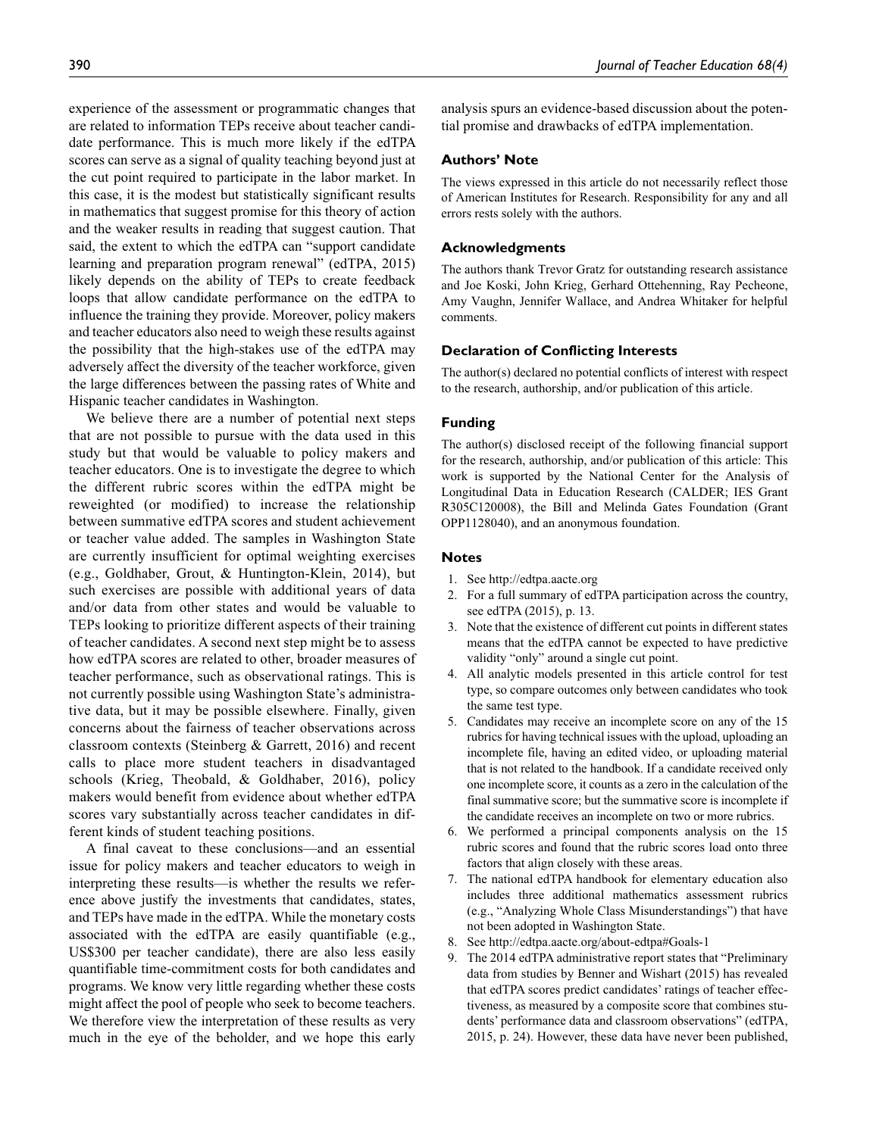experience of the assessment or programmatic changes that are related to information TEPs receive about teacher candidate performance. This is much more likely if the edTPA scores can serve as a signal of quality teaching beyond just at the cut point required to participate in the labor market. In this case, it is the modest but statistically significant results in mathematics that suggest promise for this theory of action and the weaker results in reading that suggest caution. That said, the extent to which the edTPA can "support candidate learning and preparation program renewal" (edTPA, 2015) likely depends on the ability of TEPs to create feedback loops that allow candidate performance on the edTPA to influence the training they provide. Moreover, policy makers and teacher educators also need to weigh these results against the possibility that the high-stakes use of the edTPA may adversely affect the diversity of the teacher workforce, given the large differences between the passing rates of White and Hispanic teacher candidates in Washington.

We believe there are a number of potential next steps that are not possible to pursue with the data used in this study but that would be valuable to policy makers and teacher educators. One is to investigate the degree to which the different rubric scores within the edTPA might be reweighted (or modified) to increase the relationship between summative edTPA scores and student achievement or teacher value added. The samples in Washington State are currently insufficient for optimal weighting exercises (e.g., Goldhaber, Grout, & Huntington-Klein, 2014), but such exercises are possible with additional years of data and/or data from other states and would be valuable to TEPs looking to prioritize different aspects of their training of teacher candidates. A second next step might be to assess how edTPA scores are related to other, broader measures of teacher performance, such as observational ratings. This is not currently possible using Washington State's administrative data, but it may be possible elsewhere. Finally, given concerns about the fairness of teacher observations across classroom contexts (Steinberg & Garrett, 2016) and recent calls to place more student teachers in disadvantaged schools (Krieg, Theobald, & Goldhaber, 2016), policy makers would benefit from evidence about whether edTPA scores vary substantially across teacher candidates in different kinds of student teaching positions.

A final caveat to these conclusions—and an essential issue for policy makers and teacher educators to weigh in interpreting these results—is whether the results we reference above justify the investments that candidates, states, and TEPs have made in the edTPA. While the monetary costs associated with the edTPA are easily quantifiable (e.g., US\$300 per teacher candidate), there are also less easily quantifiable time-commitment costs for both candidates and programs. We know very little regarding whether these costs might affect the pool of people who seek to become teachers. We therefore view the interpretation of these results as very much in the eye of the beholder, and we hope this early

analysis spurs an evidence-based discussion about the potential promise and drawbacks of edTPA implementation.

### **Authors' Note**

The views expressed in this article do not necessarily reflect those of American Institutes for Research. Responsibility for any and all errors rests solely with the authors.

#### **Acknowledgments**

The authors thank Trevor Gratz for outstanding research assistance and Joe Koski, John Krieg, Gerhard Ottehenning, Ray Pecheone, Amy Vaughn, Jennifer Wallace, and Andrea Whitaker for helpful comments.

### **Declaration of Conflicting Interests**

The author(s) declared no potential conflicts of interest with respect to the research, authorship, and/or publication of this article.

#### **Funding**

The author(s) disclosed receipt of the following financial support for the research, authorship, and/or publication of this article: This work is supported by the National Center for the Analysis of Longitudinal Data in Education Research (CALDER; IES Grant R305C120008), the Bill and Melinda Gates Foundation (Grant OPP1128040), and an anonymous foundation.

#### **Notes**

- 1. See <http://edtpa.aacte.org>
- 2. For a full summary of edTPA participation across the country, see edTPA (2015), p. 13.
- 3. Note that the existence of different cut points in different states means that the edTPA cannot be expected to have predictive validity "only" around a single cut point.
- 4. All analytic models presented in this article control for test type, so compare outcomes only between candidates who took the same test type.
- 5. Candidates may receive an incomplete score on any of the 15 rubrics for having technical issues with the upload, uploading an incomplete file, having an edited video, or uploading material that is not related to the handbook. If a candidate received only one incomplete score, it counts as a zero in the calculation of the final summative score; but the summative score is incomplete if the candidate receives an incomplete on two or more rubrics.
- 6. We performed a principal components analysis on the 15 rubric scores and found that the rubric scores load onto three factors that align closely with these areas.
- 7. The national edTPA handbook for elementary education also includes three additional mathematics assessment rubrics (e.g., "Analyzing Whole Class Misunderstandings") that have not been adopted in Washington State.
- 8. See <http://edtpa.aacte.org/about-edtpa#Goals-1>
- 9. The 2014 edTPA administrative report states that "Preliminary data from studies by Benner and Wishart (2015) has revealed that edTPA scores predict candidates' ratings of teacher effectiveness, as measured by a composite score that combines students' performance data and classroom observations" (edTPA, 2015, p. 24). However, these data have never been published,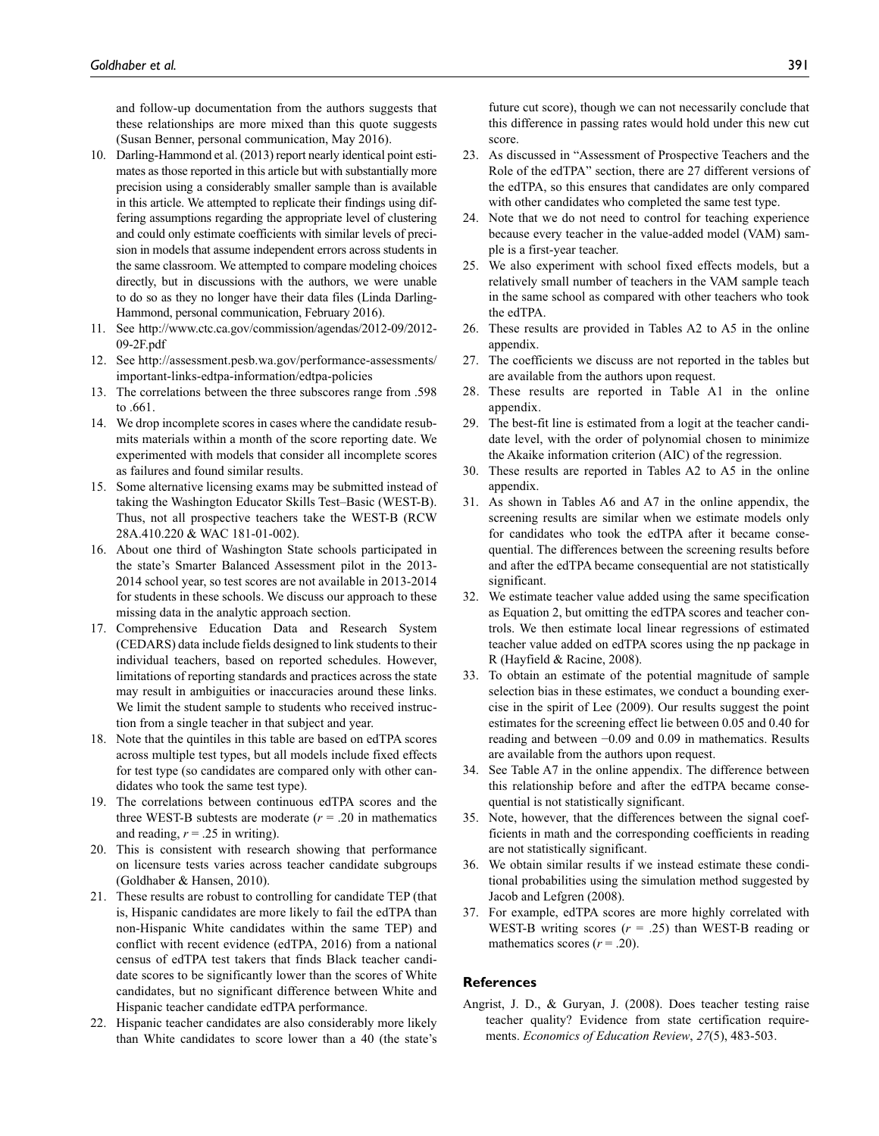and follow-up documentation from the authors suggests that these relationships are more mixed than this quote suggests (Susan Benner, personal communication, May 2016).

- 10. Darling-Hammond et al. (2013) report nearly identical point estimates as those reported in this article but with substantially more precision using a considerably smaller sample than is available in this article. We attempted to replicate their findings using differing assumptions regarding the appropriate level of clustering and could only estimate coefficients with similar levels of precision in models that assume independent errors across students in the same classroom. We attempted to compare modeling choices directly, but in discussions with the authors, we were unable to do so as they no longer have their data files (Linda Darling-Hammond, personal communication, February 2016).
- 11. See [http://www.ctc.ca.gov/commission/agendas/2012-09/2012-](http://www.ctc.ca.gov/commission/agendas/2012-09/2012-09-2F.pdf) [09-2F.pdf](http://www.ctc.ca.gov/commission/agendas/2012-09/2012-09-2F.pdf)
- 12. [See http://assessment.pesb.wa.gov/performance-assessments/](http://assessment.pesb.wa.gov/performance-assessments/important-links-edtpa-information/edtpa-policies) important-links-edtpa-information/edtpa-policies
- 13. The correlations between the three subscores range from .598 to .661.
- 14. We drop incomplete scores in cases where the candidate resubmits materials within a month of the score reporting date. We experimented with models that consider all incomplete scores as failures and found similar results.
- 15. Some alternative licensing exams may be submitted instead of taking the Washington Educator Skills Test–Basic (WEST-B). Thus, not all prospective teachers take the WEST-B (RCW 28A.410.220 & WAC 181-01-002).
- 16. About one third of Washington State schools participated in the state's Smarter Balanced Assessment pilot in the 2013- 2014 school year, so test scores are not available in 2013-2014 for students in these schools. We discuss our approach to these missing data in the analytic approach section.
- 17. Comprehensive Education Data and Research System (CEDARS) data include fields designed to link students to their individual teachers, based on reported schedules. However, limitations of reporting standards and practices across the state may result in ambiguities or inaccuracies around these links. We limit the student sample to students who received instruction from a single teacher in that subject and year.
- 18. Note that the quintiles in this table are based on edTPA scores across multiple test types, but all models include fixed effects for test type (so candidates are compared only with other candidates who took the same test type).
- 19. The correlations between continuous edTPA scores and the three WEST-B subtests are moderate  $(r = .20$  in mathematics and reading,  $r = .25$  in writing).
- 20. This is consistent with research showing that performance on licensure tests varies across teacher candidate subgroups (Goldhaber & Hansen, 2010).
- 21. These results are robust to controlling for candidate TEP (that is, Hispanic candidates are more likely to fail the edTPA than non-Hispanic White candidates within the same TEP) and conflict with recent evidence (edTPA, 2016) from a national census of edTPA test takers that finds Black teacher candidate scores to be significantly lower than the scores of White candidates, but no significant difference between White and Hispanic teacher candidate edTPA performance.
- 22. Hispanic teacher candidates are also considerably more likely than White candidates to score lower than a 40 (the state's

future cut score), though we can not necessarily conclude that this difference in passing rates would hold under this new cut score.

- 23. As discussed in "Assessment of Prospective Teachers and the Role of the edTPA" section, there are 27 different versions of the edTPA, so this ensures that candidates are only compared with other candidates who completed the same test type.
- 24. Note that we do not need to control for teaching experience because every teacher in the value-added model (VAM) sample is a first-year teacher.
- 25. We also experiment with school fixed effects models, but a relatively small number of teachers in the VAM sample teach in the same school as compared with other teachers who took the edTPA.
- 26. These results are provided in Tables A2 to A5 in the online appendix.
- 27. The coefficients we discuss are not reported in the tables but are available from the authors upon request.
- 28. These results are reported in Table A1 in the online appendix.
- 29. The best-fit line is estimated from a logit at the teacher candidate level, with the order of polynomial chosen to minimize the Akaike information criterion (AIC) of the regression.
- 30. These results are reported in Tables A2 to A5 in the online appendix.
- 31. As shown in Tables A6 and A7 in the online appendix, the screening results are similar when we estimate models only for candidates who took the edTPA after it became consequential. The differences between the screening results before and after the edTPA became consequential are not statistically significant.
- 32. We estimate teacher value added using the same specification as Equation 2, but omitting the edTPA scores and teacher controls. We then estimate local linear regressions of estimated teacher value added on edTPA scores using the np package in R (Hayfield & Racine, 2008).
- 33. To obtain an estimate of the potential magnitude of sample selection bias in these estimates, we conduct a bounding exercise in the spirit of Lee (2009). Our results suggest the point estimates for the screening effect lie between 0.05 and 0.40 for reading and between −0.09 and 0.09 in mathematics. Results are available from the authors upon request.
- 34. See Table A7 in the online appendix. The difference between this relationship before and after the edTPA became consequential is not statistically significant.
- 35. Note, however, that the differences between the signal coefficients in math and the corresponding coefficients in reading are not statistically significant.
- 36. We obtain similar results if we instead estimate these conditional probabilities using the simulation method suggested by Jacob and Lefgren (2008).
- 37. For example, edTPA scores are more highly correlated with WEST-B writing scores  $(r = .25)$  than WEST-B reading or mathematics scores  $(r = .20)$ .

### **References**

Angrist, J. D., & Guryan, J. (2008). Does teacher testing raise teacher quality? Evidence from state certification requirements. *Economics of Education Review*, *27*(5), 483-503.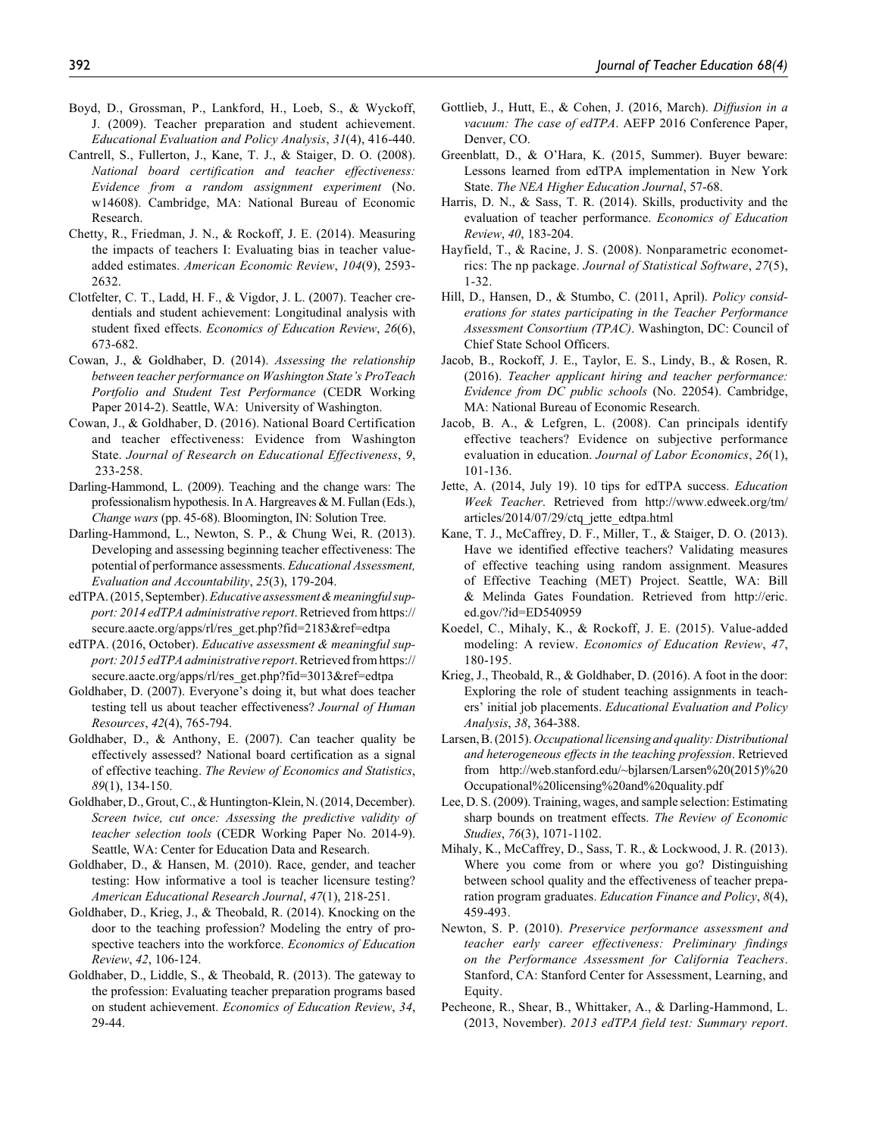- Boyd, D., Grossman, P., Lankford, H., Loeb, S., & Wyckoff, J. (2009). Teacher preparation and student achievement. *Educational Evaluation and Policy Analysis*, *31*(4), 416-440.
- Cantrell, S., Fullerton, J., Kane, T. J., & Staiger, D. O. (2008). *National board certification and teacher effectiveness: Evidence from a random assignment experiment* (No. w14608). Cambridge, MA: National Bureau of Economic Research.
- Chetty, R., Friedman, J. N., & Rockoff, J. E. (2014). Measuring the impacts of teachers I: Evaluating bias in teacher valueadded estimates. *American Economic Review*, *104*(9), 2593- 2632.
- Clotfelter, C. T., Ladd, H. F., & Vigdor, J. L. (2007). Teacher credentials and student achievement: Longitudinal analysis with student fixed effects. *Economics of Education Review*, *26*(6), 673-682.
- Cowan, J., & Goldhaber, D. (2014). *Assessing the relationship between teacher performance on Washington State's ProTeach Portfolio and Student Test Performance* (CEDR Working Paper 2014-2). Seattle, WA: University of Washington.
- Cowan, J., & Goldhaber, D. (2016). National Board Certification and teacher effectiveness: Evidence from Washington State. *Journal of Research on Educational Effectiveness*, *9*, 233-258.
- Darling-Hammond, L. (2009). Teaching and the change wars: The professionalism hypothesis. In A. Hargreaves & M. Fullan (Eds.), *Change wars* (pp. 45-68). Bloomington, IN: Solution Tree.
- Darling-Hammond, L., Newton, S. P., & Chung Wei, R. (2013). Developing and assessing beginning teacher effectiveness: The potential of performance assessments. *Educational Assessment, Evaluation and Accountability*, *25*(3), 179-204.
- edTPA. (2015, September). *Educative assessment & meaningful support: 2014 edTPA administrative report*. Retrieved from https:// secure.aacte.org/apps/rl/res\_get.php?fid=2183&ref=edtpa
- edTPA. (2016, October). *Educative assessment & meaningful support: 2015 edTPA administrative report*. Retrieved from https:// secure.aacte.org/apps/rl/res\_get.php?fid=3013&ref=edtpa
- Goldhaber, D. (2007). Everyone's doing it, but what does teacher testing tell us about teacher effectiveness? *Journal of Human Resources*, *42*(4), 765-794.
- Goldhaber, D., & Anthony, E. (2007). Can teacher quality be effectively assessed? National board certification as a signal of effective teaching. *The Review of Economics and Statistics*, *89*(1), 134-150.
- Goldhaber, D., Grout, C., & Huntington-Klein, N. (2014, December). *Screen twice, cut once: Assessing the predictive validity of teacher selection tools* (CEDR Working Paper No. 2014-9). Seattle, WA: Center for Education Data and Research.
- Goldhaber, D., & Hansen, M. (2010). Race, gender, and teacher testing: How informative a tool is teacher licensure testing? *American Educational Research Journal*, *47*(1), 218-251.
- Goldhaber, D., Krieg, J., & Theobald, R. (2014). Knocking on the door to the teaching profession? Modeling the entry of prospective teachers into the workforce. *Economics of Education Review*, *42*, 106-124.
- Goldhaber, D., Liddle, S., & Theobald, R. (2013). The gateway to the profession: Evaluating teacher preparation programs based on student achievement. *Economics of Education Review*, *34*, 29-44.
- Gottlieb, J., Hutt, E., & Cohen, J. (2016, March). *Diffusion in a vacuum: The case of edTPA*. AEFP 2016 Conference Paper, Denver, CO.
- Greenblatt, D., & O'Hara, K. (2015, Summer). Buyer beware: Lessons learned from edTPA implementation in New York State. *The NEA Higher Education Journal*, 57-68.
- Harris, D. N., & Sass, T. R. (2014). Skills, productivity and the evaluation of teacher performance. *Economics of Education Review*, *40*, 183-204.
- Hayfield, T., & Racine, J. S. (2008). Nonparametric econometrics: The np package. *Journal of Statistical Software*, *27*(5), 1-32.
- Hill, D., Hansen, D., & Stumbo, C. (2011, April). *Policy considerations for states participating in the Teacher Performance Assessment Consortium (TPAC)*. Washington, DC: Council of Chief State School Officers.
- Jacob, B., Rockoff, J. E., Taylor, E. S., Lindy, B., & Rosen, R. (2016). *Teacher applicant hiring and teacher performance: Evidence from DC public schools* (No. 22054). Cambridge, MA: National Bureau of Economic Research.
- Jacob, B. A., & Lefgren, L. (2008). Can principals identify effective teachers? Evidence on subjective performance evaluation in education. *Journal of Labor Economics*, *26*(1), 101-136.
- Jette, A. (2014, July 19). 10 tips for edTPA success. *Education Week Teacher*. Retrieved from [http://www.edweek.org/tm/](http://www.edweek.org/tm/articles/2014/07/29/ctq_jette_edtpa.html) [articles/2014/07/29/ctq\\_jette\\_edtpa.html](http://www.edweek.org/tm/articles/2014/07/29/ctq_jette_edtpa.html)
- Kane, T. J., McCaffrey, D. F., Miller, T., & Staiger, D. O. (2013). Have we identified effective teachers? Validating measures of effective teaching using random assignment. Measures of Effective Teaching (MET) Project. Seattle, WA: Bill [& Melinda Gates Foundation. Retrieved from http://eric.](http://eric.ed.gov/?id=ED540959) ed.gov/?id=ED540959
- Koedel, C., Mihaly, K., & Rockoff, J. E. (2015). Value-added modeling: A review. *Economics of Education Review*, *47*, 180-195.
- Krieg, J., Theobald, R., & Goldhaber, D. (2016). A foot in the door: Exploring the role of student teaching assignments in teachers' initial job placements. *Educational Evaluation and Policy Analysis*, *38*, 364-388.
- Larsen, B. (2015). *Occupational licensing and quality: Distributional and heterogeneous effects in the teaching profession*. Retrieved from [http://web.stanford.edu/~bjlarsen/Larsen%20\(2015\)%20](http://web.stanford.edu/~bjlarsen/Larsen%20(2015)%20Occupational%20licensing%20and%20quality.pdf) [Occupational%20licensing%20and%20quality.pdf](http://web.stanford.edu/~bjlarsen/Larsen%20(2015)%20Occupational%20licensing%20and%20quality.pdf)
- Lee, D. S. (2009). Training, wages, and sample selection: Estimating sharp bounds on treatment effects. *The Review of Economic Studies*, *76*(3), 1071-1102.
- Mihaly, K., McCaffrey, D., Sass, T. R., & Lockwood, J. R. (2013). Where you come from or where you go? Distinguishing between school quality and the effectiveness of teacher preparation program graduates. *Education Finance and Policy*, *8*(4), 459-493.
- Newton, S. P. (2010). *Preservice performance assessment and teacher early career effectiveness: Preliminary findings on the Performance Assessment for California Teachers*. Stanford, CA: Stanford Center for Assessment, Learning, and Equity.
- Pecheone, R., Shear, B., Whittaker, A., & Darling-Hammond, L. (2013, November). *2013 edTPA field test: Summary report*.